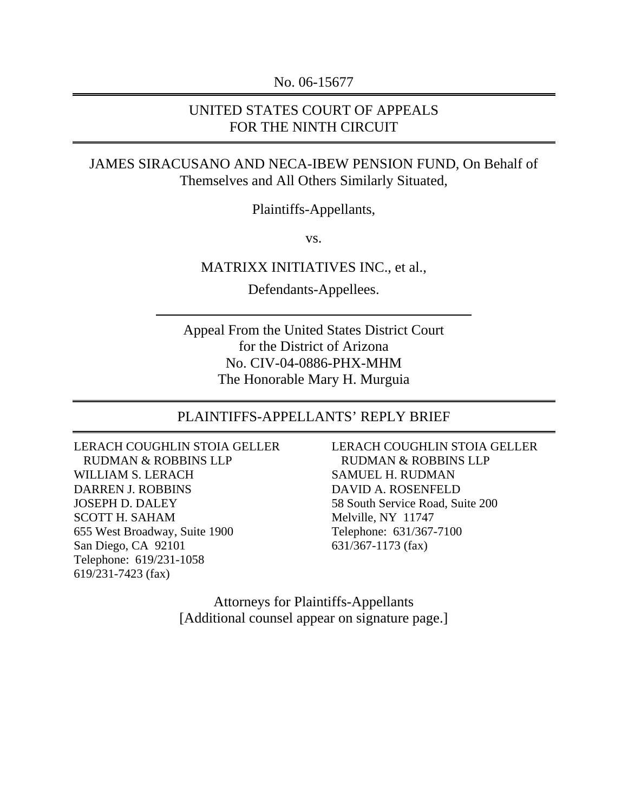No. 06-15677

#### UNITED STATES COURT OF APPEALS FOR THE NINTH CIRCUIT

#### JAMES SIRACUSANO AND NECA-IBEW PENSION FUND, On Behalf of Themselves and All Others Similarly Situated,

Plaintiffs-Appellants,

vs.

#### MATRIXX INITIATIVES INC., et al.,

Defendants-Appellees.

Appeal From the United States District Court for the District of Arizona No. CIV-04-0886-PHX-MHM The Honorable Mary H. Murguia

#### PLAINTIFFS-APPELLANTS' REPLY BRIEF

LERACH COUGHLIN STOIA GELLER RUDMAN & ROBBINS LLP WILLIAM S. LERACH DARREN J. ROBBINS JOSEPH D. DALEY SCOTT H. SAHAM 655 West Broadway, Suite 1900 San Diego, CA 92101 Telephone: 619/231-1058 619/231-7423 (fax)

LERACH COUGHLIN STOIA GELLER RUDMAN & ROBBINS LLP SAMUEL H. RUDMAN DAVID A. ROSENFELD 58 South Service Road, Suite 200 Melville, NY 11747 Telephone: 631/367-7100 631/367-1173 (fax)

Attorneys for Plaintiffs-Appellants [Additional counsel appear on signature page.]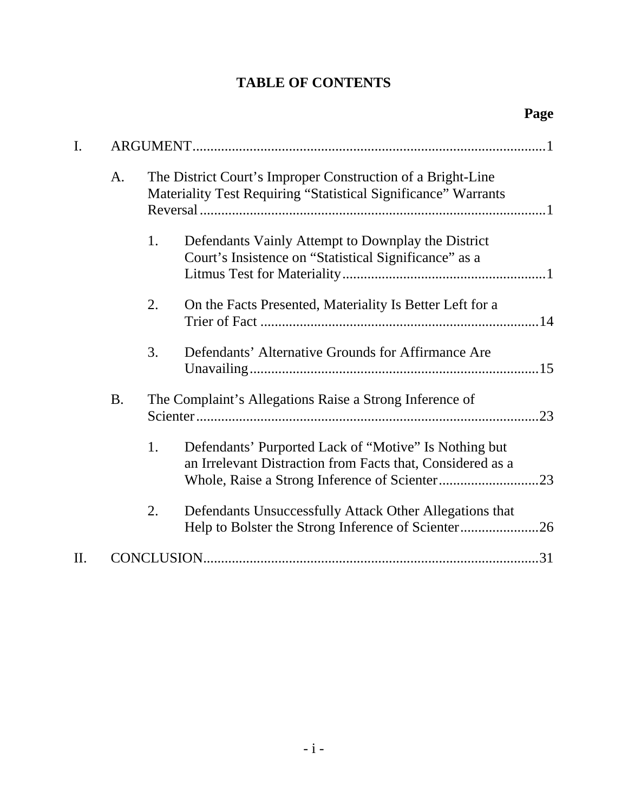# **TABLE OF CONTENTS**

| I. |           | The District Court's Improper Construction of a Bright-Line<br>A.<br>Materiality Test Requiring "Statistical Significance" Warrants |                                                                                                                     |  |
|----|-----------|-------------------------------------------------------------------------------------------------------------------------------------|---------------------------------------------------------------------------------------------------------------------|--|
|    |           |                                                                                                                                     |                                                                                                                     |  |
|    |           | 1.                                                                                                                                  | Defendants Vainly Attempt to Downplay the District<br>Court's Insistence on "Statistical Significance" as a         |  |
|    |           | 2.                                                                                                                                  | On the Facts Presented, Materiality Is Better Left for a                                                            |  |
|    |           | 3.                                                                                                                                  | Defendants' Alternative Grounds for Affirmance Are                                                                  |  |
|    | <b>B.</b> | The Complaint's Allegations Raise a Strong Inference of<br>.23                                                                      |                                                                                                                     |  |
|    |           | 1.                                                                                                                                  | Defendants' Purported Lack of "Motive" Is Nothing but<br>an Irrelevant Distraction from Facts that, Considered as a |  |
|    |           | 2.                                                                                                                                  | Defendants Unsuccessfully Attack Other Allegations that<br>Help to Bolster the Strong Inference of Scienter26       |  |
| H. |           |                                                                                                                                     |                                                                                                                     |  |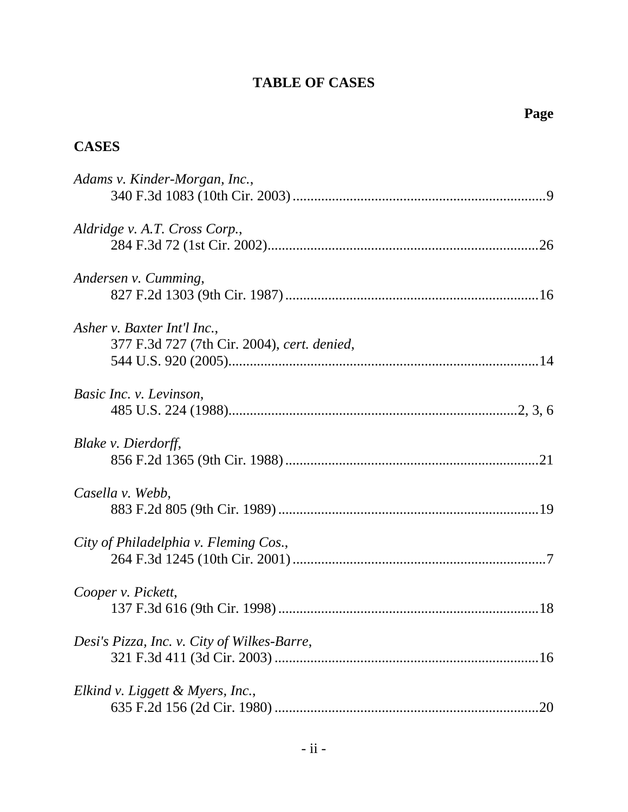## **TABLE OF CASES**

# **CASES**

| Adams v. Kinder-Morgan, Inc.,                                              |
|----------------------------------------------------------------------------|
| Aldridge v. A.T. Cross Corp.,                                              |
| Andersen v. Cumming,                                                       |
|                                                                            |
| Asher v. Baxter Int'l Inc.,<br>377 F.3d 727 (7th Cir. 2004), cert. denied, |
| Basic Inc. v. Levinson,                                                    |
| Blake v. Dierdorff,                                                        |
| Casella v. Webb,                                                           |
| City of Philadelphia v. Fleming Cos.,                                      |
| Cooper v. Pickett,                                                         |
| Desi's Pizza, Inc. v. City of Wilkes-Barre,                                |
| Elkind v. Liggett & Myers, Inc.,                                           |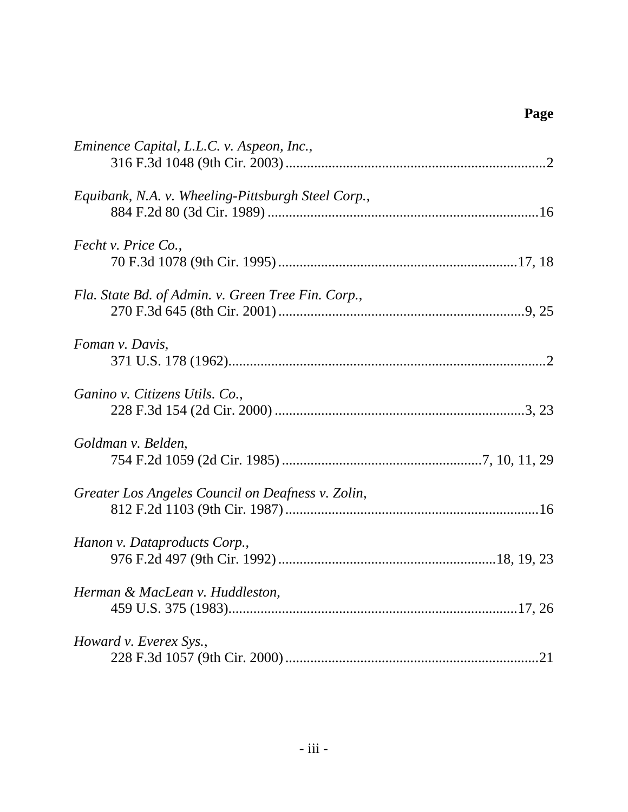| Eminence Capital, L.L.C. v. Aspeon, Inc.,          |
|----------------------------------------------------|
| Equibank, N.A. v. Wheeling-Pittsburgh Steel Corp., |
| Fecht v. Price Co.,                                |
| Fla. State Bd. of Admin. v. Green Tree Fin. Corp., |
| Foman v. Davis,                                    |
| Ganino v. Citizens Utils. Co.,                     |
| Goldman v. Belden,                                 |
| Greater Los Angeles Council on Deafness v. Zolin,  |
| Hanon v. Dataproducts Corp.,                       |
| Herman & MacLean v. Huddleston,                    |
| Howard v. Everex Sys.,                             |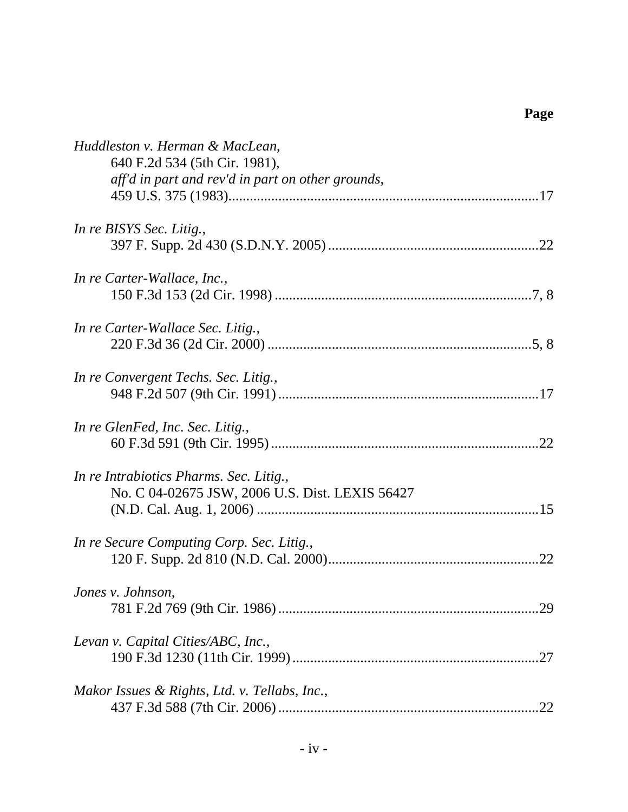| Huddleston v. Herman & MacLean,                   |
|---------------------------------------------------|
| 640 F.2d 534 (5th Cir. 1981),                     |
| aff'd in part and rev'd in part on other grounds, |
|                                                   |
| In re BISYS Sec. Litig.,                          |
|                                                   |
| In re Carter-Wallace, Inc.,                       |
|                                                   |
| In re Carter-Wallace Sec. Litig.,                 |
|                                                   |
| In re Convergent Techs. Sec. Litig.,              |
|                                                   |
| In re GlenFed, Inc. Sec. Litig.,                  |
|                                                   |
| In re Intrabiotics Pharms. Sec. Litig.,           |
| No. C 04-02675 JSW, 2006 U.S. Dist. LEXIS 56427   |
|                                                   |
| In re Secure Computing Corp. Sec. Litig.,         |
|                                                   |
| Jones v. Johnson,                                 |
|                                                   |
| Levan v. Capital Cities/ABC, Inc.,                |
|                                                   |
| Makor Issues & Rights, Ltd. v. Tellabs, Inc.,     |
|                                                   |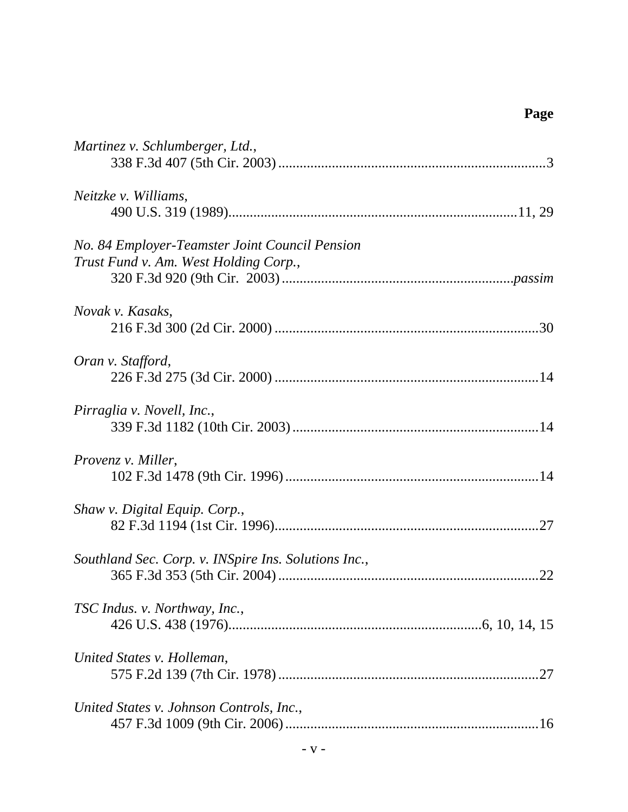| Martinez v. Schlumberger, Ltd.,                      |     |
|------------------------------------------------------|-----|
|                                                      |     |
| Neitzke v. Williams,                                 |     |
|                                                      |     |
| No. 84 Employer-Teamster Joint Council Pension       |     |
| Trust Fund v. Am. West Holding Corp.,                |     |
|                                                      |     |
| Novak v. Kasaks,                                     |     |
|                                                      |     |
| Oran v. Stafford,                                    |     |
|                                                      |     |
| Pirraglia v. Novell, Inc.,                           |     |
|                                                      |     |
| Provenz v. Miller,                                   |     |
|                                                      |     |
| Shaw v. Digital Equip. Corp.,                        |     |
|                                                      |     |
| Southland Sec. Corp. v. INSpire Ins. Solutions Inc., |     |
|                                                      |     |
| TSC Indus. v. Northway, Inc.,                        |     |
|                                                      |     |
| United States v. Holleman,                           |     |
|                                                      | .27 |
| United States v. Johnson Controls, Inc.,             |     |
|                                                      |     |
|                                                      |     |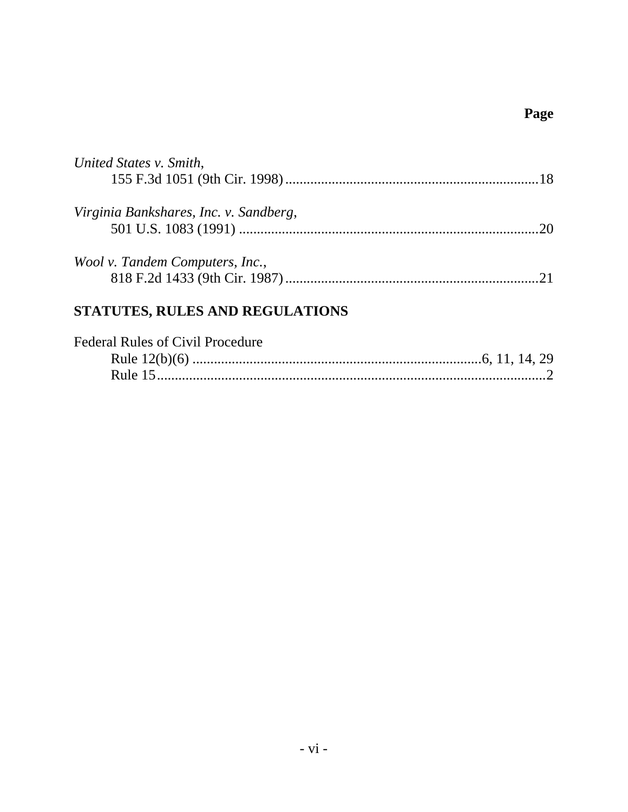| United States v. Smith,                |  |
|----------------------------------------|--|
|                                        |  |
| Virginia Bankshares, Inc. v. Sandberg, |  |
|                                        |  |
|                                        |  |
| Wool v. Tandem Computers, Inc.,        |  |
|                                        |  |
|                                        |  |
| STATUTES, RULES AND REGULATIONS        |  |

| <b>Federal Rules of Civil Procedure</b> |  |
|-----------------------------------------|--|
|                                         |  |
|                                         |  |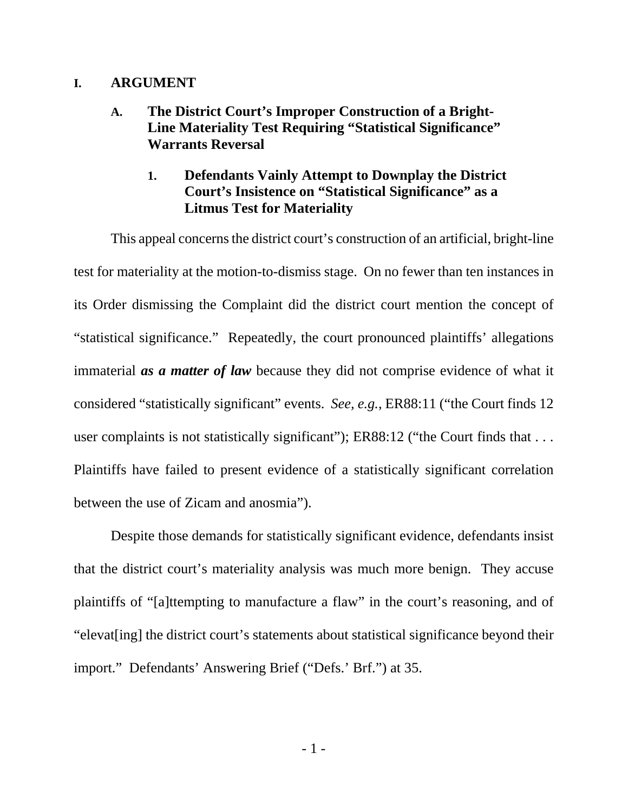#### **I. ARGUMENT**

### **A. The District Court's Improper Construction of a Bright-Line Materiality Test Requiring "Statistical Significance" Warrants Reversal**

### **1. Defendants Vainly Attempt to Downplay the District Court's Insistence on "Statistical Significance" as a Litmus Test for Materiality**

This appeal concerns the district court's construction of an artificial, bright-line test for materiality at the motion-to-dismiss stage. On no fewer than ten instances in its Order dismissing the Complaint did the district court mention the concept of "statistical significance." Repeatedly, the court pronounced plaintiffs' allegations immaterial *as a matter of law* because they did not comprise evidence of what it considered "statistically significant" events. *See, e.g.*, ER88:11 ("the Court finds 12 user complaints is not statistically significant"); ER88:12 ("the Court finds that ... Plaintiffs have failed to present evidence of a statistically significant correlation between the use of Zicam and anosmia").

Despite those demands for statistically significant evidence, defendants insist that the district court's materiality analysis was much more benign. They accuse plaintiffs of "[a]ttempting to manufacture a flaw" in the court's reasoning, and of "elevat[ing] the district court's statements about statistical significance beyond their import." Defendants' Answering Brief ("Defs.' Brf.") at 35.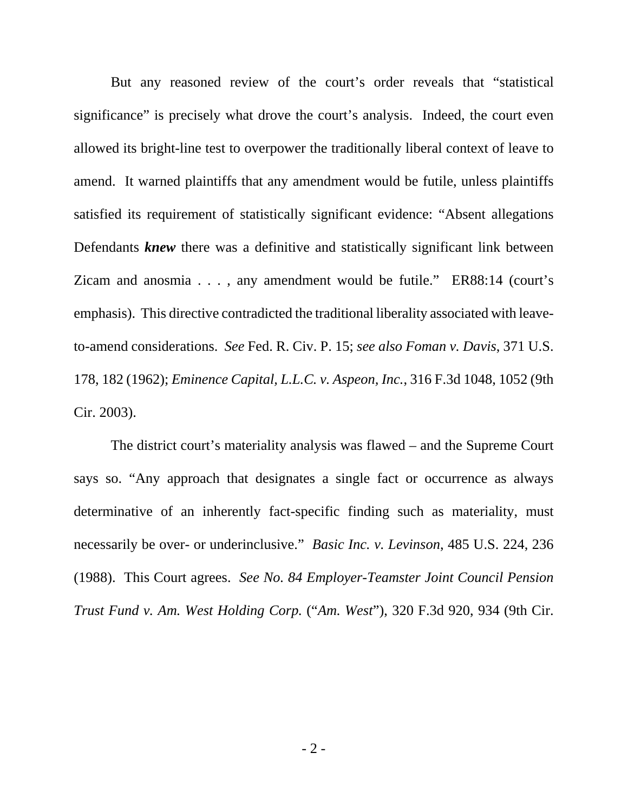But any reasoned review of the court's order reveals that "statistical significance" is precisely what drove the court's analysis. Indeed, the court even allowed its bright-line test to overpower the traditionally liberal context of leave to amend. It warned plaintiffs that any amendment would be futile, unless plaintiffs satisfied its requirement of statistically significant evidence: "Absent allegations Defendants **knew** there was a definitive and statistically significant link between Zicam and anosmia . . . , any amendment would be futile." ER88:14 (court's emphasis). This directive contradicted the traditional liberality associated with leaveto-amend considerations. *See* Fed. R. Civ. P. 15; *see also Foman v. Davis*, 371 U.S. 178, 182 (1962); *Eminence Capital, L.L.C. v. Aspeon, Inc.*, 316 F.3d 1048, 1052 (9th Cir. 2003).

The district court's materiality analysis was flawed – and the Supreme Court says so. "Any approach that designates a single fact or occurrence as always determinative of an inherently fact-specific finding such as materiality, must necessarily be over- or underinclusive." *Basic Inc. v. Levinson*, 485 U.S. 224, 236 (1988). This Court agrees. *See No. 84 Employer-Teamster Joint Council Pension Trust Fund v. Am. West Holding Corp.* ("*Am. West*"), 320 F.3d 920, 934 (9th Cir.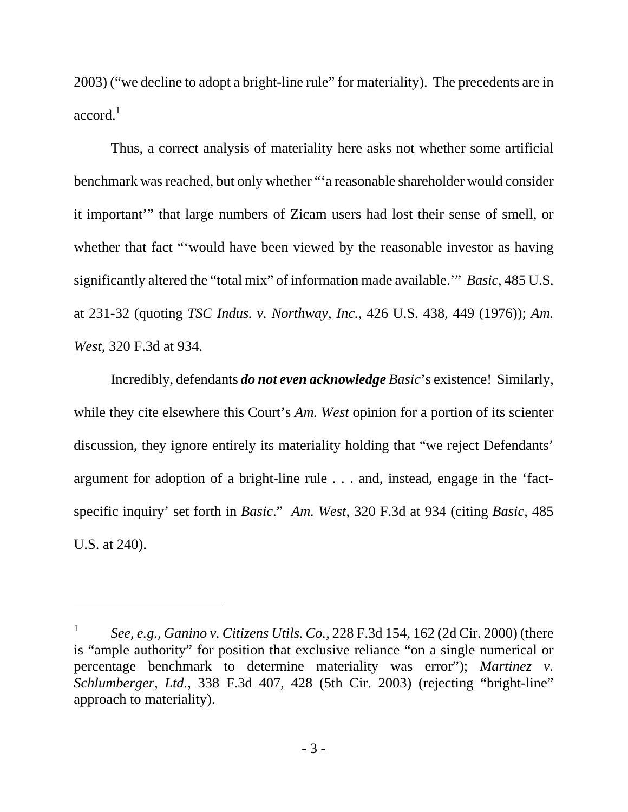2003) ("we decline to adopt a bright-line rule" for materiality). The precedents are in  $accord.<sup>1</sup>$ 

Thus, a correct analysis of materiality here asks not whether some artificial benchmark was reached, but only whether "'a reasonable shareholder would consider it important'" that large numbers of Zicam users had lost their sense of smell, or whether that fact "'would have been viewed by the reasonable investor as having significantly altered the "total mix" of information made available.'" *Basic*, 485 U.S. at 231-32 (quoting *TSC Indus. v. Northway, Inc.*, 426 U.S. 438, 449 (1976)); *Am. West*, 320 F.3d at 934.

Incredibly, defendants *do not even acknowledge Basic*'s existence! Similarly, while they cite elsewhere this Court's *Am. West* opinion for a portion of its scienter discussion, they ignore entirely its materiality holding that "we reject Defendants' argument for adoption of a bright-line rule . . . and, instead, engage in the 'factspecific inquiry' set forth in *Basic*." *Am. West*, 320 F.3d at 934 (citing *Basic*, 485 U.S. at 240).

<sup>1</sup> *See, e.g.*, *Ganino v. Citizens Utils. Co.*, 228 F.3d 154, 162 (2d Cir. 2000) (there is "ample authority" for position that exclusive reliance "on a single numerical or percentage benchmark to determine materiality was error"); *Martinez v. Schlumberger, Ltd.*, 338 F.3d 407, 428 (5th Cir. 2003) (rejecting "bright-line" approach to materiality).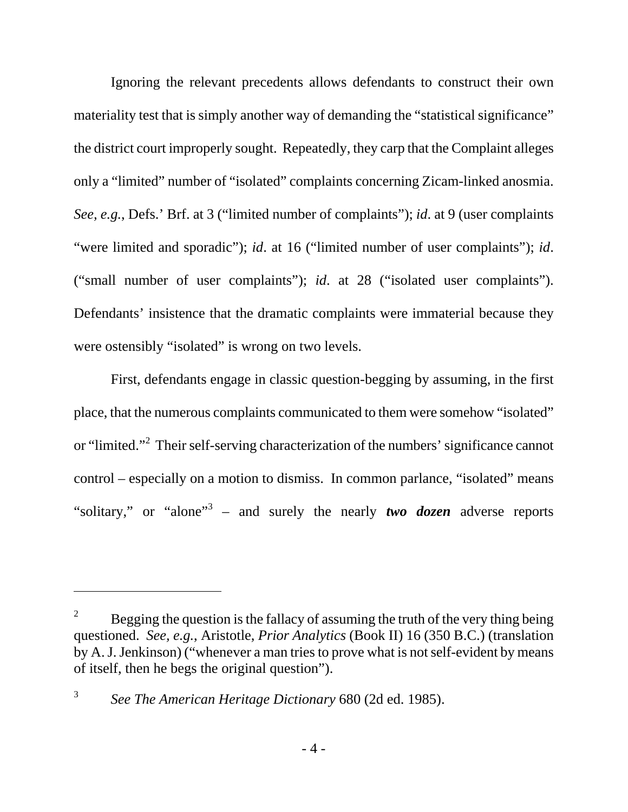Ignoring the relevant precedents allows defendants to construct their own materiality test that is simply another way of demanding the "statistical significance" the district court improperly sought. Repeatedly, they carp that the Complaint alleges only a "limited" number of "isolated" complaints concerning Zicam-linked anosmia. *See, e.g.*, Defs.' Brf. at 3 ("limited number of complaints"); *id*. at 9 (user complaints "were limited and sporadic"); *id*. at 16 ("limited number of user complaints"); *id*. ("small number of user complaints"); *id*. at 28 ("isolated user complaints"). Defendants' insistence that the dramatic complaints were immaterial because they were ostensibly "isolated" is wrong on two levels.

First, defendants engage in classic question-begging by assuming, in the first place, that the numerous complaints communicated to them were somehow "isolated" or "limited."<sup>2</sup> Their self-serving characterization of the numbers' significance cannot control – especially on a motion to dismiss. In common parlance, "isolated" means "solitary," or "alone"<sup>3</sup> – and surely the nearly *two dozen* adverse reports

<sup>2</sup> Begging the question is the fallacy of assuming the truth of the very thing being questioned. *See, e.g.*, Aristotle, *Prior Analytics* (Book II) 16 (350 B.C.) (translation by A. J. Jenkinson) ("whenever a man tries to prove what is not self-evident by means of itself, then he begs the original question").

<sup>3</sup> *See The American Heritage Dictionary* 680 (2d ed. 1985).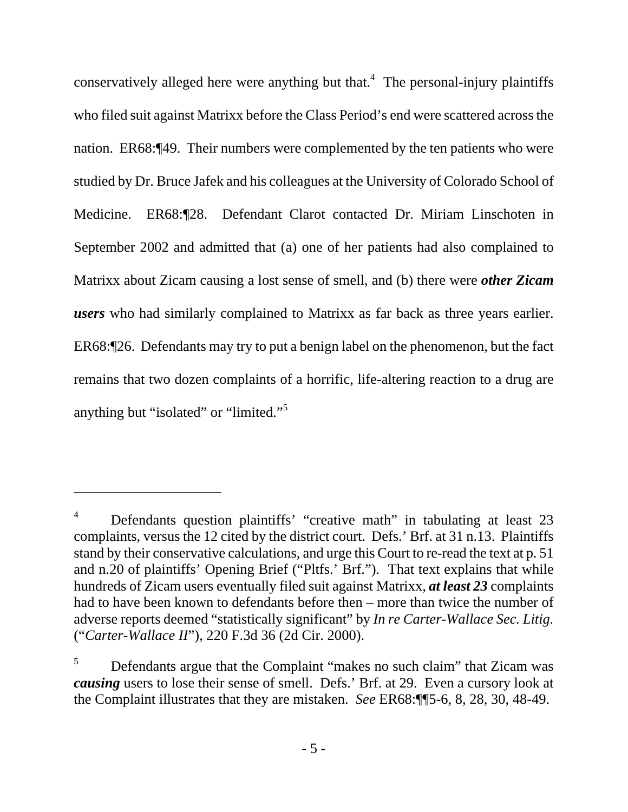conservatively alleged here were anything but that.<sup>4</sup> The personal-injury plaintiffs who filed suit against Matrixx before the Class Period's end were scattered across the nation. ER68:¶49. Their numbers were complemented by the ten patients who were studied by Dr. Bruce Jafek and his colleagues at the University of Colorado School of Medicine. ER68:¶28. Defendant Clarot contacted Dr. Miriam Linschoten in September 2002 and admitted that (a) one of her patients had also complained to Matrixx about Zicam causing a lost sense of smell, and (b) there were *other Zicam users* who had similarly complained to Matrixx as far back as three years earlier. ER68:¶26. Defendants may try to put a benign label on the phenomenon, but the fact remains that two dozen complaints of a horrific, life-altering reaction to a drug are anything but "isolated" or "limited."<sup>5</sup>

<sup>4</sup> Defendants question plaintiffs' "creative math" in tabulating at least 23 complaints, versus the 12 cited by the district court. Defs.' Brf. at 31 n.13. Plaintiffs stand by their conservative calculations, and urge this Court to re-read the text at p. 51 and n.20 of plaintiffs' Opening Brief ("Pltfs.' Brf."). That text explains that while hundreds of Zicam users eventually filed suit against Matrixx, *at least 23* complaints had to have been known to defendants before then – more than twice the number of adverse reports deemed "statistically significant" by *In re Carter-Wallace Sec. Litig.*  ("*Carter-Wallace II*"), 220 F.3d 36 (2d Cir. 2000).

<sup>5</sup> Defendants argue that the Complaint "makes no such claim" that Zicam was *causing* users to lose their sense of smell. Defs.' Brf. at 29. Even a cursory look at the Complaint illustrates that they are mistaken. *See* ER68:¶¶5-6, 8, 28, 30, 48-49.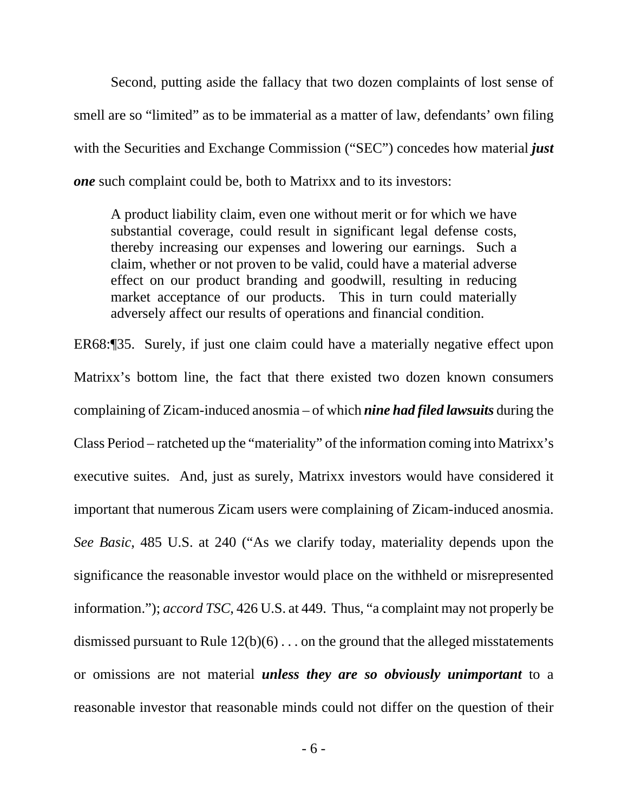Second, putting aside the fallacy that two dozen complaints of lost sense of smell are so "limited" as to be immaterial as a matter of law, defendants' own filing with the Securities and Exchange Commission ("SEC") concedes how material *just one* such complaint could be, both to Matrixx and to its investors:

A product liability claim, even one without merit or for which we have substantial coverage, could result in significant legal defense costs, thereby increasing our expenses and lowering our earnings. Such a claim, whether or not proven to be valid, could have a material adverse effect on our product branding and goodwill, resulting in reducing market acceptance of our products. This in turn could materially adversely affect our results of operations and financial condition.

ER68:¶35. Surely, if just one claim could have a materially negative effect upon Matrixx's bottom line, the fact that there existed two dozen known consumers complaining of Zicam-induced anosmia – of which *nine had filed lawsuits* during the Class Period – ratcheted up the "materiality" of the information coming into Matrixx's executive suites. And, just as surely, Matrixx investors would have considered it important that numerous Zicam users were complaining of Zicam-induced anosmia. *See Basic*, 485 U.S. at 240 ("As we clarify today, materiality depends upon the significance the reasonable investor would place on the withheld or misrepresented information."); *accord TSC*, 426 U.S. at 449. Thus, "a complaint may not properly be dismissed pursuant to Rule  $12(b)(6)$ ... on the ground that the alleged misstatements or omissions are not material *unless they are so obviously unimportant* to a reasonable investor that reasonable minds could not differ on the question of their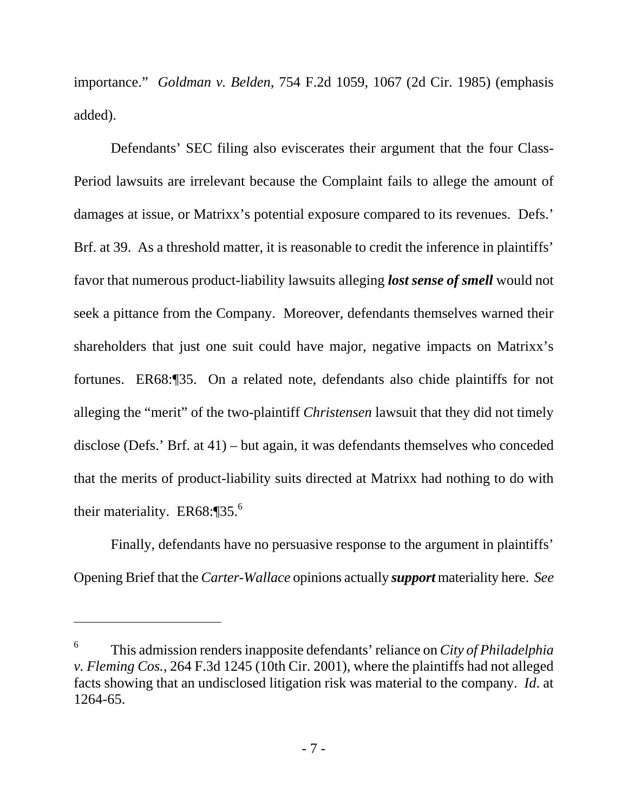importance." *Goldman v. Belden*, 754 F.2d 1059, 1067 (2d Cir. 1985) (emphasis added).

Defendants' SEC filing also eviscerates their argument that the four Class-Period lawsuits are irrelevant because the Complaint fails to allege the amount of damages at issue, or Matrixx's potential exposure compared to its revenues. Defs.' Brf. at 39. As a threshold matter, it is reasonable to credit the inference in plaintiffs' favor that numerous product-liability lawsuits alleging *lost sense of smell* would not seek a pittance from the Company. Moreover, defendants themselves warned their shareholders that just one suit could have major, negative impacts on Matrixx's fortunes. ER68:¶35. On a related note, defendants also chide plaintiffs for not alleging the "merit" of the two-plaintiff *Christensen* lawsuit that they did not timely disclose (Defs.' Brf. at 41) – but again, it was defendants themselves who conceded that the merits of product-liability suits directed at Matrixx had nothing to do with their materiality. ER68:¶35.<sup>6</sup>

Finally, defendants have no persuasive response to the argument in plaintiffs' Opening Brief that the *Carter-Wallace* opinions actually *support* materiality here. *See*

<sup>6</sup> This admission renders inapposite defendants' reliance on *City of Philadelphia v. Fleming Cos.*, 264 F.3d 1245 (10th Cir. 2001), where the plaintiffs had not alleged facts showing that an undisclosed litigation risk was material to the company. *Id*. at 1264-65.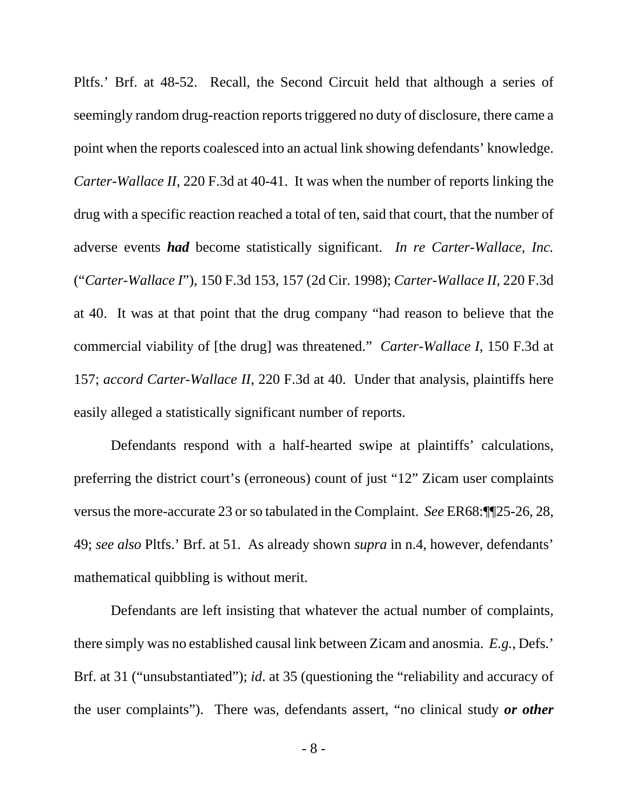Pltfs.' Brf. at 48-52. Recall, the Second Circuit held that although a series of seemingly random drug-reaction reports triggered no duty of disclosure, there came a point when the reports coalesced into an actual link showing defendants' knowledge. *Carter-Wallace II*, 220 F.3d at 40-41. It was when the number of reports linking the drug with a specific reaction reached a total of ten, said that court, that the number of adverse events *had* become statistically significant. *In re Carter-Wallace, Inc.* ("*Carter-Wallace I*"), 150 F.3d 153, 157 (2d Cir. 1998); *Carter-Wallace II*, 220 F.3d at 40. It was at that point that the drug company "had reason to believe that the commercial viability of [the drug] was threatened." *Carter-Wallace I*, 150 F.3d at 157; *accord Carter-Wallace II*, 220 F.3d at 40. Under that analysis, plaintiffs here easily alleged a statistically significant number of reports.

Defendants respond with a half-hearted swipe at plaintiffs' calculations, preferring the district court's (erroneous) count of just "12" Zicam user complaints versus the more-accurate 23 or so tabulated in the Complaint. *See* ER68:¶¶25-26, 28, 49; *see also* Pltfs.' Brf. at 51. As already shown *supra* in n.4, however, defendants' mathematical quibbling is without merit.

Defendants are left insisting that whatever the actual number of complaints, there simply was no established causal link between Zicam and anosmia. *E.g.*, Defs.' Brf. at 31 ("unsubstantiated"); *id*. at 35 (questioning the "reliability and accuracy of the user complaints"). There was, defendants assert, "no clinical study *or other*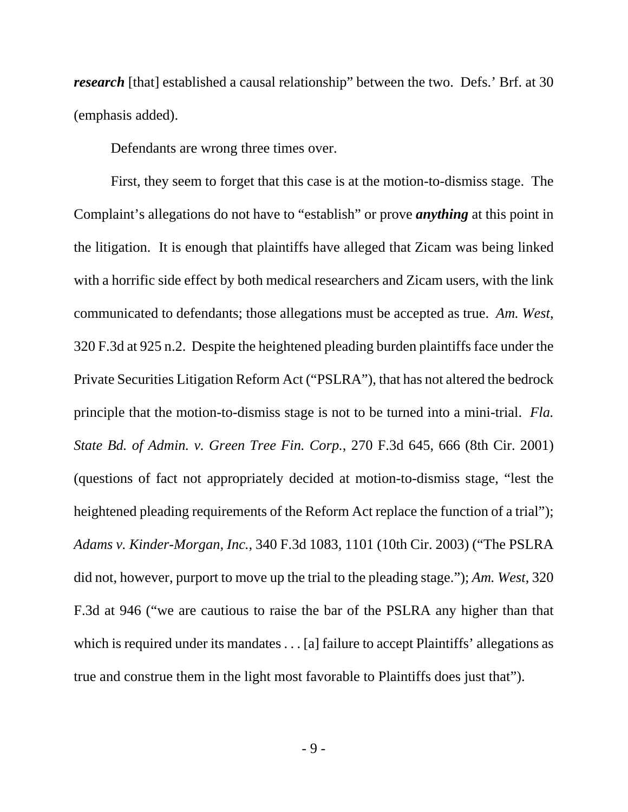*research* [that] established a causal relationship" between the two. Defs.' Brf. at 30 (emphasis added).

Defendants are wrong three times over.

First, they seem to forget that this case is at the motion-to-dismiss stage. The Complaint's allegations do not have to "establish" or prove *anything* at this point in the litigation. It is enough that plaintiffs have alleged that Zicam was being linked with a horrific side effect by both medical researchers and Zicam users, with the link communicated to defendants; those allegations must be accepted as true. *Am. West*, 320 F.3d at 925 n.2. Despite the heightened pleading burden plaintiffs face under the Private Securities Litigation Reform Act ("PSLRA"), that has not altered the bedrock principle that the motion-to-dismiss stage is not to be turned into a mini-trial. *Fla. State Bd. of Admin. v. Green Tree Fin. Corp.*, 270 F.3d 645, 666 (8th Cir. 2001) (questions of fact not appropriately decided at motion-to-dismiss stage, "lest the heightened pleading requirements of the Reform Act replace the function of a trial"); *Adams v. Kinder-Morgan, Inc.*, 340 F.3d 1083, 1101 (10th Cir. 2003) ("The PSLRA did not, however, purport to move up the trial to the pleading stage."); *Am. West*, 320 F.3d at 946 ("we are cautious to raise the bar of the PSLRA any higher than that which is required under its mandates . . . [a] failure to accept Plaintiffs' allegations as true and construe them in the light most favorable to Plaintiffs does just that").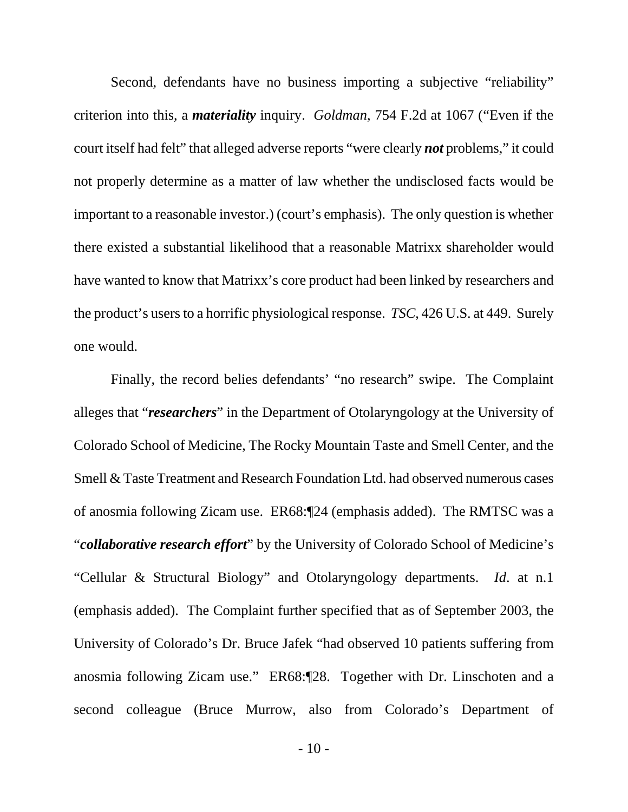Second, defendants have no business importing a subjective "reliability" criterion into this, a *materiality* inquiry. *Goldman*, 754 F.2d at 1067 ("Even if the court itself had felt" that alleged adverse reports "were clearly *not* problems," it could not properly determine as a matter of law whether the undisclosed facts would be important to a reasonable investor.) (court's emphasis). The only question is whether there existed a substantial likelihood that a reasonable Matrixx shareholder would have wanted to know that Matrixx's core product had been linked by researchers and the product's users to a horrific physiological response. *TSC*, 426 U.S. at 449. Surely one would.

Finally, the record belies defendants' "no research" swipe. The Complaint alleges that "*researchers*" in the Department of Otolaryngology at the University of Colorado School of Medicine, The Rocky Mountain Taste and Smell Center, and the Smell & Taste Treatment and Research Foundation Ltd. had observed numerous cases of anosmia following Zicam use. ER68:¶24 (emphasis added). The RMTSC was a "*collaborative research effort*" by the University of Colorado School of Medicine's "Cellular & Structural Biology" and Otolaryngology departments. *Id*. at n.1 (emphasis added). The Complaint further specified that as of September 2003, the University of Colorado's Dr. Bruce Jafek "had observed 10 patients suffering from anosmia following Zicam use." ER68:¶28. Together with Dr. Linschoten and a second colleague (Bruce Murrow, also from Colorado's Department of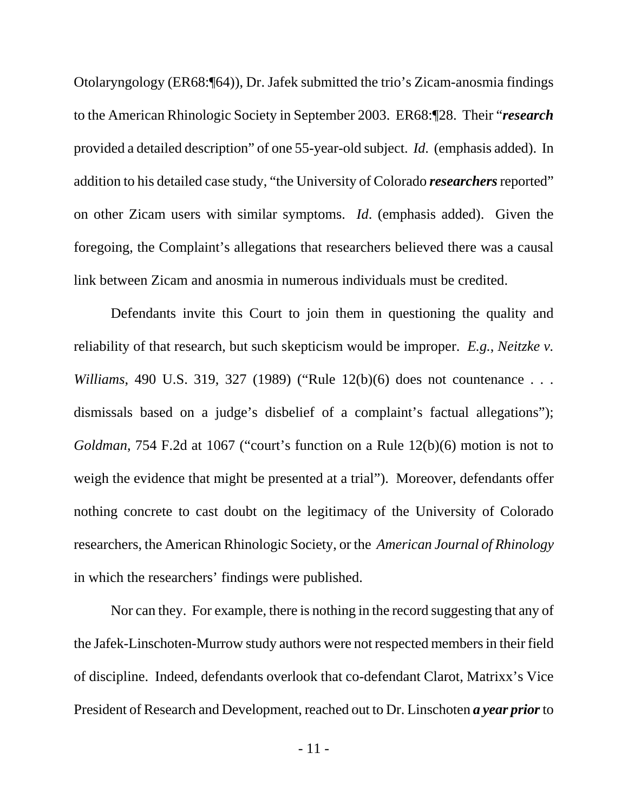Otolaryngology (ER68:¶64)), Dr. Jafek submitted the trio's Zicam-anosmia findings to the American Rhinologic Society in September 2003. ER68:¶28. Their "*research* provided a detailed description" of one 55-year-old subject. *Id*. (emphasis added). In addition to his detailed case study, "the University of Colorado *researchers* reported" on other Zicam users with similar symptoms. *Id*. (emphasis added). Given the foregoing, the Complaint's allegations that researchers believed there was a causal link between Zicam and anosmia in numerous individuals must be credited.

Defendants invite this Court to join them in questioning the quality and reliability of that research, but such skepticism would be improper. *E.g.*, *Neitzke v. Williams*, 490 U.S. 319, 327 (1989) ("Rule 12(b)(6) does not countenance . . . dismissals based on a judge's disbelief of a complaint's factual allegations"); *Goldman*, 754 F.2d at 1067 ("court's function on a Rule 12(b)(6) motion is not to weigh the evidence that might be presented at a trial"). Moreover, defendants offer nothing concrete to cast doubt on the legitimacy of the University of Colorado researchers, the American Rhinologic Society, or the *American Journal of Rhinology* in which the researchers' findings were published.

Nor can they. For example, there is nothing in the record suggesting that any of the Jafek-Linschoten-Murrow study authors were not respected members in their field of discipline. Indeed, defendants overlook that co-defendant Clarot, Matrixx's Vice President of Research and Development, reached out to Dr. Linschoten *a year prior* to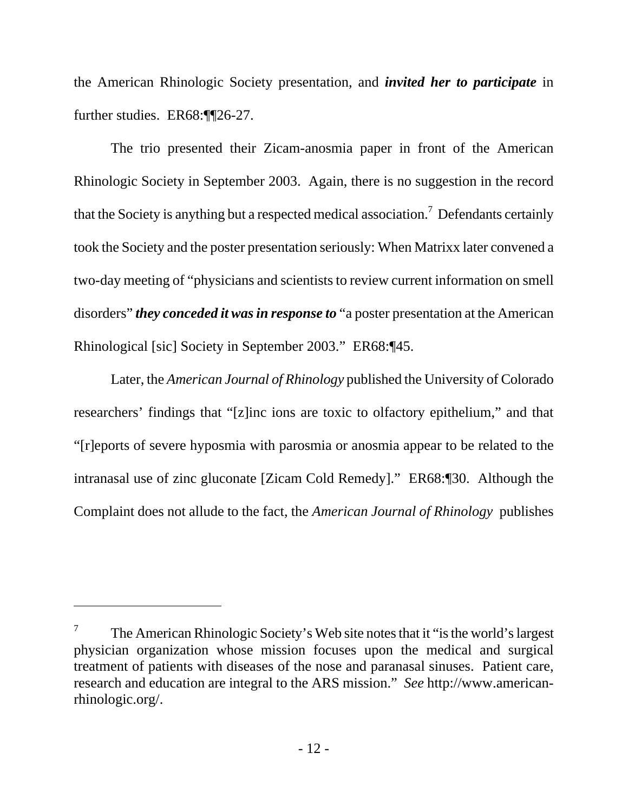the American Rhinologic Society presentation, and *invited her to participate* in further studies. ER68:¶¶26-27.

The trio presented their Zicam-anosmia paper in front of the American Rhinologic Society in September 2003. Again, there is no suggestion in the record that the Society is anything but a respected medical association.<sup>7</sup> Defendants certainly took the Society and the poster presentation seriously: When Matrixx later convened a two-day meeting of "physicians and scientists to review current information on smell disorders" *they conceded it was in response to* "a poster presentation at the American Rhinological [sic] Society in September 2003." ER68:¶45.

Later, the *American Journal of Rhinology* published the University of Colorado researchers' findings that "[z]inc ions are toxic to olfactory epithelium," and that "[r]eports of severe hyposmia with parosmia or anosmia appear to be related to the intranasal use of zinc gluconate [Zicam Cold Remedy]." ER68:¶30. Although the Complaint does not allude to the fact, the *American Journal of Rhinology* publishes

<sup>7</sup> The American Rhinologic Society's Web site notes that it "is the world's largest physician organization whose mission focuses upon the medical and surgical treatment of patients with diseases of the nose and paranasal sinuses. Patient care, research and education are integral to the ARS mission." *See* http://www.americanrhinologic.org/.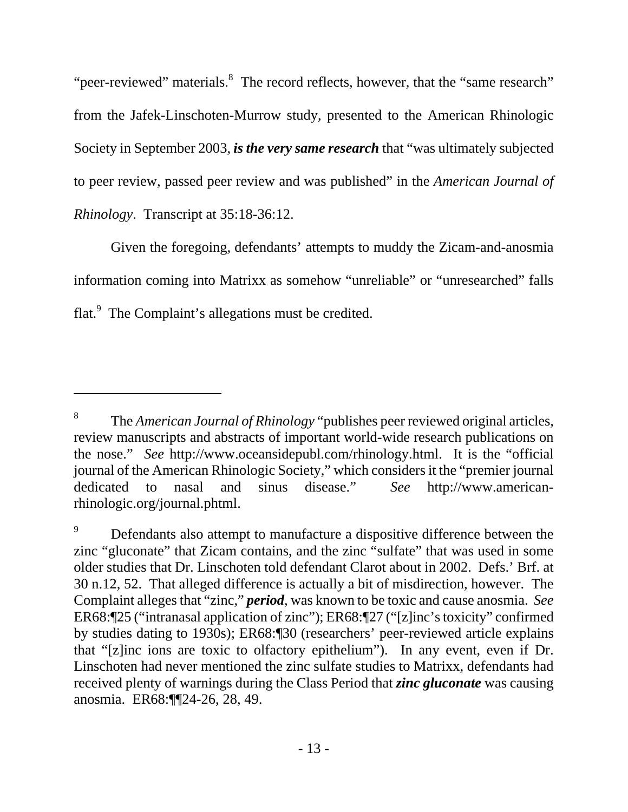"peer-reviewed" materials.<sup>8</sup> The record reflects, however, that the "same research" from the Jafek-Linschoten-Murrow study, presented to the American Rhinologic Society in September 2003, *is the very same research* that "was ultimately subjected to peer review, passed peer review and was published" in the *American Journal of Rhinology*. Transcript at 35:18-36:12.

Given the foregoing, defendants' attempts to muddy the Zicam-and-anosmia information coming into Matrixx as somehow "unreliable" or "unresearched" falls flat.<sup>9</sup> The Complaint's allegations must be credited.

<sup>8</sup> The *American Journal of Rhinology* "publishes peer reviewed original articles, review manuscripts and abstracts of important world-wide research publications on the nose." *See* http://www.oceansidepubl.com/rhinology.html. It is the "official journal of the American Rhinologic Society," which considers it the "premier journal dedicated to nasal and sinus disease." *See* http://www.americanrhinologic.org/journal.phtml.

<sup>9</sup> Defendants also attempt to manufacture a dispositive difference between the zinc "gluconate" that Zicam contains, and the zinc "sulfate" that was used in some older studies that Dr. Linschoten told defendant Clarot about in 2002. Defs.' Brf. at 30 n.12, 52. That alleged difference is actually a bit of misdirection, however. The Complaint alleges that "zinc," *period*, was known to be toxic and cause anosmia. *See* ER68:¶25 ("intranasal application of zinc"); ER68:¶27 ("[z]inc's toxicity" confirmed by studies dating to 1930s); ER68:¶30 (researchers' peer-reviewed article explains that "[z]inc ions are toxic to olfactory epithelium"). In any event, even if Dr. Linschoten had never mentioned the zinc sulfate studies to Matrixx, defendants had received plenty of warnings during the Class Period that *zinc gluconate* was causing anosmia. ER68:¶¶24-26, 28, 49.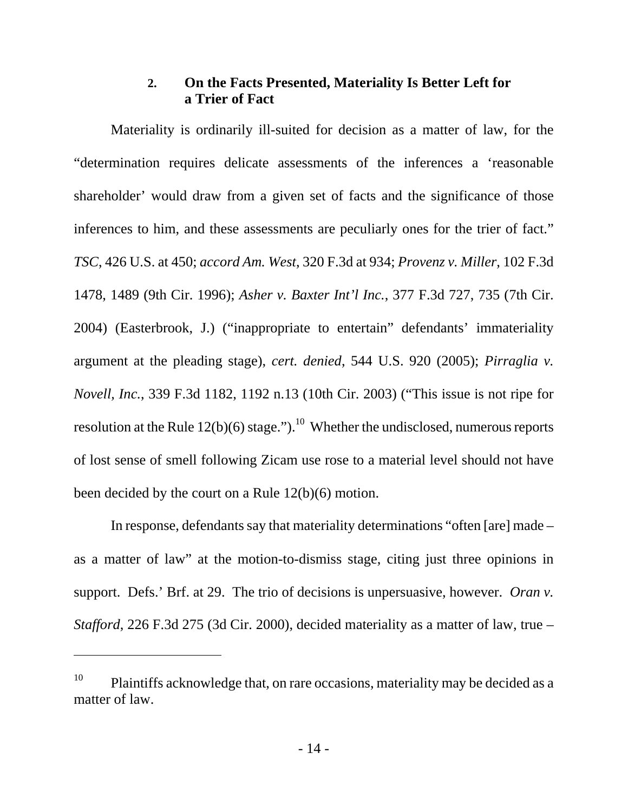### **2. On the Facts Presented, Materiality Is Better Left for a Trier of Fact**

Materiality is ordinarily ill-suited for decision as a matter of law, for the "determination requires delicate assessments of the inferences a 'reasonable shareholder' would draw from a given set of facts and the significance of those inferences to him, and these assessments are peculiarly ones for the trier of fact." *TSC*, 426 U.S. at 450; *accord Am. West*, 320 F.3d at 934; *Provenz v. Miller*, 102 F.3d 1478, 1489 (9th Cir. 1996); *Asher v. Baxter Int'l Inc.*, 377 F.3d 727, 735 (7th Cir. 2004) (Easterbrook, J.) ("inappropriate to entertain" defendants' immateriality argument at the pleading stage), *cert. denied*, 544 U.S. 920 (2005); *Pirraglia v. Novell, Inc.*, 339 F.3d 1182, 1192 n.13 (10th Cir. 2003) ("This issue is not ripe for resolution at the Rule  $12(b)(6)$  stage.").<sup>10</sup> Whether the undisclosed, numerous reports of lost sense of smell following Zicam use rose to a material level should not have been decided by the court on a Rule 12(b)(6) motion.

In response, defendants say that materiality determinations "often [are] made – as a matter of law" at the motion-to-dismiss stage, citing just three opinions in support. Defs.' Brf. at 29. The trio of decisions is unpersuasive, however. *Oran v. Stafford*, 226 F.3d 275 (3d Cir. 2000), decided materiality as a matter of law, true –

<sup>&</sup>lt;sup>10</sup> Plaintiffs acknowledge that, on rare occasions, materiality may be decided as a matter of law.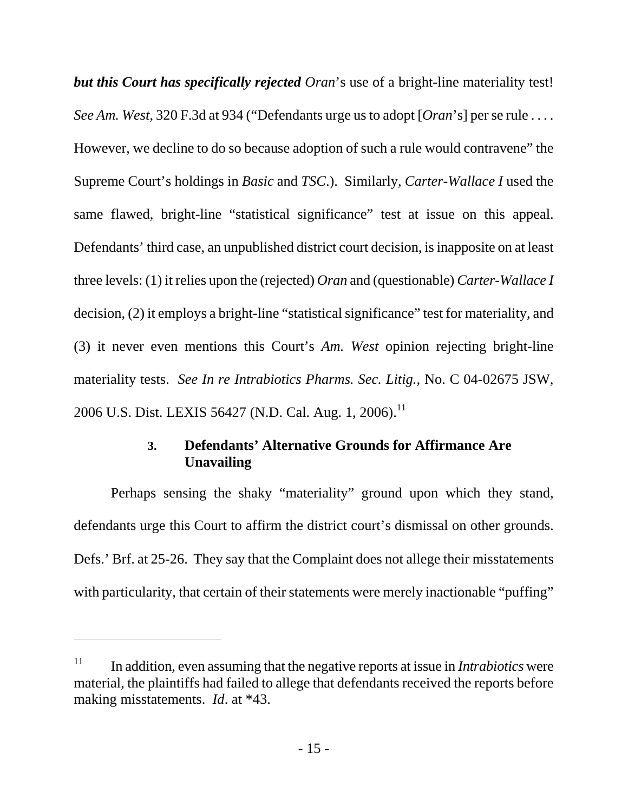*but this Court has specifically rejected Oran*'s use of a bright-line materiality test! *See Am. West*, 320 F.3d at 934 ("Defendants urge us to adopt [*Oran*'s] per se rule . . . . However, we decline to do so because adoption of such a rule would contravene" the Supreme Court's holdings in *Basic* and *TSC*.). Similarly, *Carter-Wallace I* used the same flawed, bright-line "statistical significance" test at issue on this appeal. Defendants' third case, an unpublished district court decision, is inapposite on at least three levels: (1) it relies upon the (rejected) *Oran* and (questionable) *Carter-Wallace I* decision, (2) it employs a bright-line "statistical significance" test for materiality, and (3) it never even mentions this Court's *Am. West* opinion rejecting bright-line materiality tests. *See In re Intrabiotics Pharms. Sec. Litig.*, No. C 04-02675 JSW, 2006 U.S. Dist. LEXIS 56427 (N.D. Cal. Aug. 1, 2006).<sup>11</sup>

### **3. Defendants' Alternative Grounds for Affirmance Are Unavailing**

Perhaps sensing the shaky "materiality" ground upon which they stand, defendants urge this Court to affirm the district court's dismissal on other grounds. Defs.' Brf. at 25-26. They say that the Complaint does not allege their misstatements with particularity, that certain of their statements were merely inactionable "puffing"

<sup>&</sup>lt;sup>11</sup> In addition, even assuming that the negative reports at issue in *Intrabiotics* were material, the plaintiffs had failed to allege that defendants received the reports before making misstatements. *Id*. at \*43.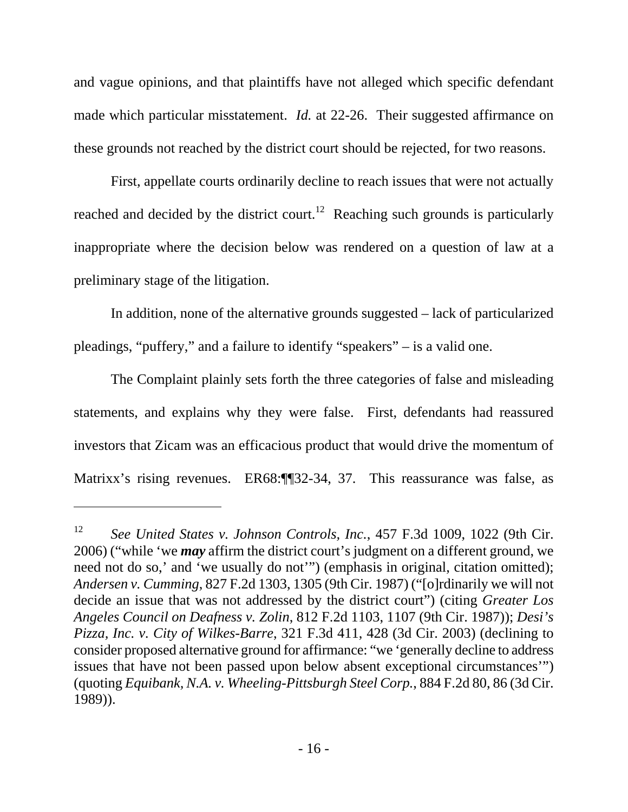and vague opinions, and that plaintiffs have not alleged which specific defendant made which particular misstatement. *Id.* at 22-26. Their suggested affirmance on these grounds not reached by the district court should be rejected, for two reasons.

First, appellate courts ordinarily decline to reach issues that were not actually reached and decided by the district court.<sup>12</sup> Reaching such grounds is particularly inappropriate where the decision below was rendered on a question of law at a preliminary stage of the litigation.

In addition, none of the alternative grounds suggested – lack of particularized pleadings, "puffery," and a failure to identify "speakers" – is a valid one.

The Complaint plainly sets forth the three categories of false and misleading statements, and explains why they were false. First, defendants had reassured investors that Zicam was an efficacious product that would drive the momentum of Matrixx's rising revenues. ER68:¶¶32-34, 37. This reassurance was false, as

<sup>12</sup> *See United States v. Johnson Controls, Inc.*, 457 F.3d 1009, 1022 (9th Cir. 2006) ("while 'we *may* affirm the district court's judgment on a different ground, we need not do so,' and 'we usually do not'") (emphasis in original, citation omitted); *Andersen v. Cumming*, 827 F.2d 1303, 1305 (9th Cir. 1987) ("[o]rdinarily we will not decide an issue that was not addressed by the district court") (citing *Greater Los Angeles Council on Deafness v. Zolin*, 812 F.2d 1103, 1107 (9th Cir. 1987)); *Desi's Pizza, Inc. v. City of Wilkes-Barre*, 321 F.3d 411, 428 (3d Cir. 2003) (declining to consider proposed alternative ground for affirmance: "we 'generally decline to address issues that have not been passed upon below absent exceptional circumstances'") (quoting *Equibank, N.A. v. Wheeling-Pittsburgh Steel Corp.*, 884 F.2d 80, 86 (3d Cir. 1989)).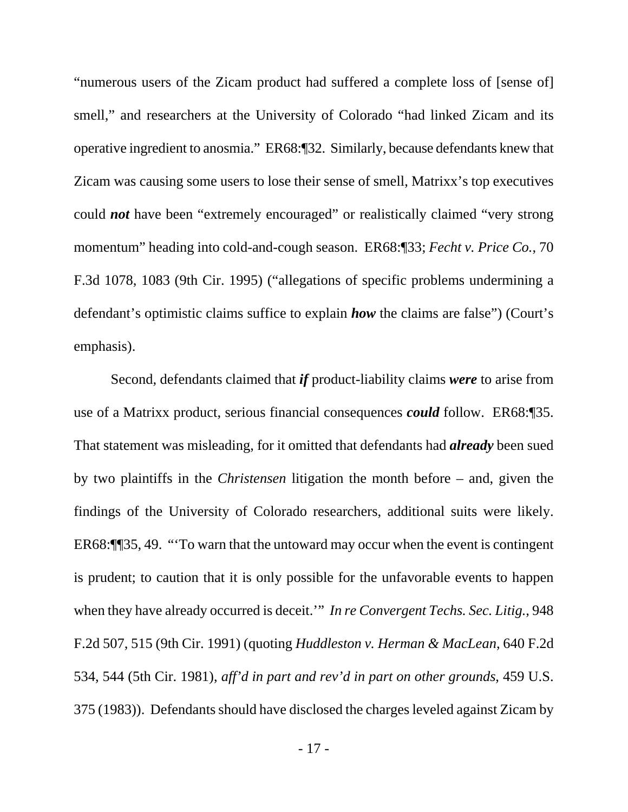"numerous users of the Zicam product had suffered a complete loss of [sense of] smell," and researchers at the University of Colorado "had linked Zicam and its operative ingredient to anosmia." ER68:¶32. Similarly, because defendants knew that Zicam was causing some users to lose their sense of smell, Matrixx's top executives could *not* have been "extremely encouraged" or realistically claimed "very strong momentum" heading into cold-and-cough season. ER68:¶33; *Fecht v. Price Co.*, 70 F.3d 1078, 1083 (9th Cir. 1995) ("allegations of specific problems undermining a defendant's optimistic claims suffice to explain *how* the claims are false") (Court's emphasis).

Second, defendants claimed that *if* product-liability claims *were* to arise from use of a Matrixx product, serious financial consequences *could* follow. ER68:¶35. That statement was misleading, for it omitted that defendants had *already* been sued by two plaintiffs in the *Christensen* litigation the month before – and, given the findings of the University of Colorado researchers, additional suits were likely. ER68:¶¶35, 49. "'To warn that the untoward may occur when the event is contingent is prudent; to caution that it is only possible for the unfavorable events to happen when they have already occurred is deceit.'" *In re Convergent Techs. Sec. Litig.*, 948 F.2d 507, 515 (9th Cir. 1991) (quoting *Huddleston v. Herman & MacLean*, 640 F.2d 534, 544 (5th Cir. 1981), *aff'd in part and rev'd in part on other grounds*, 459 U.S. 375 (1983)). Defendants should have disclosed the charges leveled against Zicam by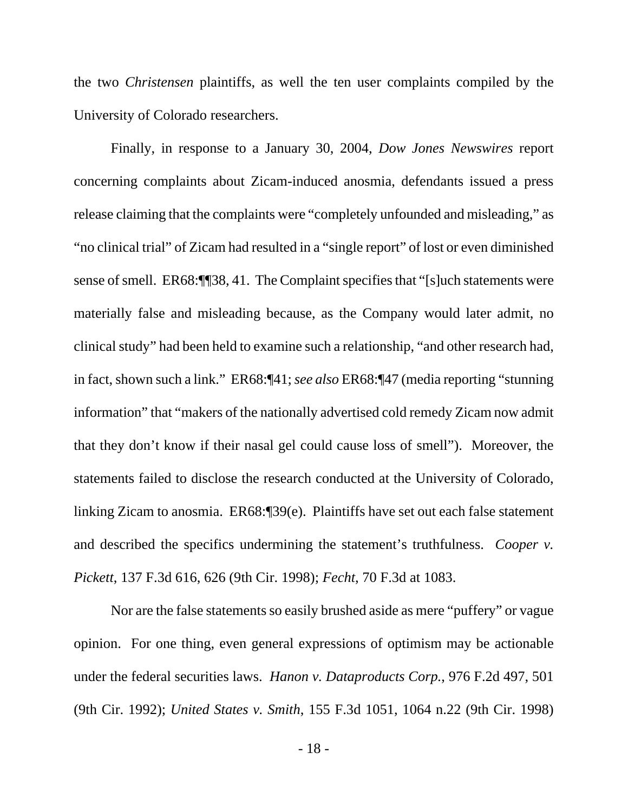the two *Christensen* plaintiffs, as well the ten user complaints compiled by the University of Colorado researchers.

Finally, in response to a January 30, 2004, *Dow Jones Newswires* report concerning complaints about Zicam-induced anosmia, defendants issued a press release claiming that the complaints were "completely unfounded and misleading," as "no clinical trial" of Zicam had resulted in a "single report" of lost or even diminished sense of smell. ER68:¶¶38, 41. The Complaint specifies that "[s]uch statements were materially false and misleading because, as the Company would later admit, no clinical study" had been held to examine such a relationship, "and other research had, in fact, shown such a link." ER68:¶41; *see also* ER68:¶47 (media reporting "stunning information" that "makers of the nationally advertised cold remedy Zicam now admit that they don't know if their nasal gel could cause loss of smell"). Moreover, the statements failed to disclose the research conducted at the University of Colorado, linking Zicam to anosmia. ER68:¶39(e). Plaintiffs have set out each false statement and described the specifics undermining the statement's truthfulness. *Cooper v. Pickett*, 137 F.3d 616, 626 (9th Cir. 1998); *Fecht*, 70 F.3d at 1083.

Nor are the false statements so easily brushed aside as mere "puffery" or vague opinion. For one thing, even general expressions of optimism may be actionable under the federal securities laws. *Hanon v. Dataproducts Corp.*, 976 F.2d 497, 501 (9th Cir. 1992); *United States v. Smith*, 155 F.3d 1051, 1064 n.22 (9th Cir. 1998)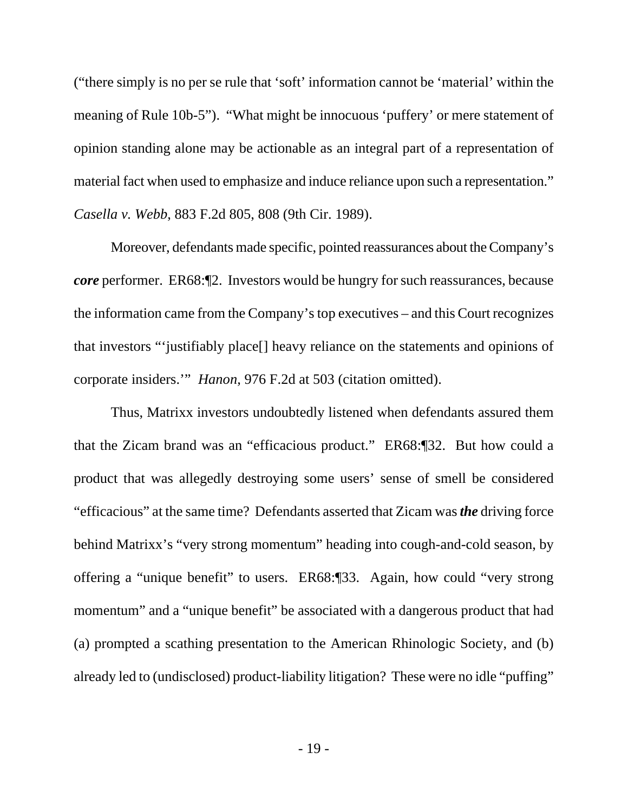("there simply is no per se rule that 'soft' information cannot be 'material' within the meaning of Rule 10b-5"). "What might be innocuous 'puffery' or mere statement of opinion standing alone may be actionable as an integral part of a representation of material fact when used to emphasize and induce reliance upon such a representation." *Casella v. Webb*, 883 F.2d 805, 808 (9th Cir. 1989).

Moreover, defendants made specific, pointed reassurances about the Company's *core* performer. ER68:¶2. Investors would be hungry for such reassurances, because the information came from the Company's top executives – and this Court recognizes that investors "'justifiably place[] heavy reliance on the statements and opinions of corporate insiders.'" *Hanon*, 976 F.2d at 503 (citation omitted).

Thus, Matrixx investors undoubtedly listened when defendants assured them that the Zicam brand was an "efficacious product." ER68:¶32. But how could a product that was allegedly destroying some users' sense of smell be considered "efficacious" at the same time? Defendants asserted that Zicam was *the* driving force behind Matrixx's "very strong momentum" heading into cough-and-cold season, by offering a "unique benefit" to users. ER68:¶33. Again, how could "very strong momentum" and a "unique benefit" be associated with a dangerous product that had (a) prompted a scathing presentation to the American Rhinologic Society, and (b) already led to (undisclosed) product-liability litigation? These were no idle "puffing"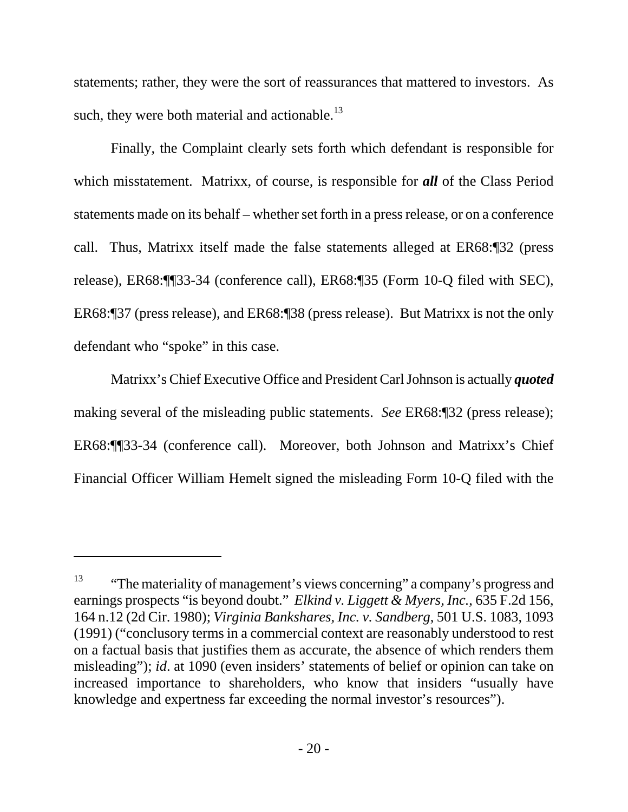statements; rather, they were the sort of reassurances that mattered to investors. As such, they were both material and actionable. $^{13}$ 

Finally, the Complaint clearly sets forth which defendant is responsible for which misstatement. Matrixx, of course, is responsible for *all* of the Class Period statements made on its behalf – whether set forth in a press release, or on a conference call. Thus, Matrixx itself made the false statements alleged at ER68:¶32 (press release), ER68:¶¶33-34 (conference call), ER68:¶35 (Form 10-Q filed with SEC), ER68:¶37 (press release), and ER68:¶38 (press release). But Matrixx is not the only defendant who "spoke" in this case.

Matrixx's Chief Executive Office and President Carl Johnson is actually *quoted* making several of the misleading public statements. *See* ER68:¶32 (press release); ER68:¶¶33-34 (conference call). Moreover, both Johnson and Matrixx's Chief Financial Officer William Hemelt signed the misleading Form 10-Q filed with the

l

<sup>&</sup>lt;sup>13</sup> "The materiality of management's views concerning" a company's progress and earnings prospects "is beyond doubt." *Elkind v. Liggett & Myers, Inc.*, 635 F.2d 156, 164 n.12 (2d Cir. 1980); *Virginia Bankshares, Inc. v. Sandberg*, 501 U.S. 1083, 1093 (1991) ("conclusory terms in a commercial context are reasonably understood to rest on a factual basis that justifies them as accurate, the absence of which renders them misleading"); *id*. at 1090 (even insiders' statements of belief or opinion can take on increased importance to shareholders, who know that insiders "usually have knowledge and expertness far exceeding the normal investor's resources").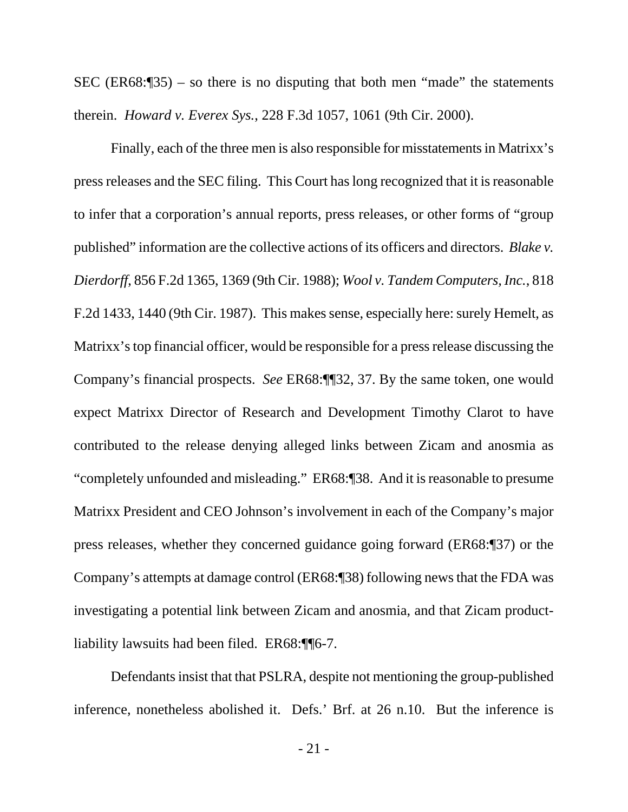SEC (ER68: $\sqrt{35}$ ) – so there is no disputing that both men "made" the statements therein. *Howard v. Everex Sys.*, 228 F.3d 1057, 1061 (9th Cir. 2000).

Finally, each of the three men is also responsible for misstatements in Matrixx's press releases and the SEC filing. This Court has long recognized that it is reasonable to infer that a corporation's annual reports, press releases, or other forms of "group published" information are the collective actions of its officers and directors. *Blake v. Dierdorff*, 856 F.2d 1365, 1369 (9th Cir. 1988); *Wool v. Tandem Computers, Inc.*, 818 F.2d 1433, 1440 (9th Cir. 1987). This makes sense, especially here: surely Hemelt, as Matrixx's top financial officer, would be responsible for a press release discussing the Company's financial prospects. *See* ER68:¶¶32, 37. By the same token, one would expect Matrixx Director of Research and Development Timothy Clarot to have contributed to the release denying alleged links between Zicam and anosmia as "completely unfounded and misleading." ER68:¶38. And it is reasonable to presume Matrixx President and CEO Johnson's involvement in each of the Company's major press releases, whether they concerned guidance going forward (ER68:¶37) or the Company's attempts at damage control (ER68:¶38) following news that the FDA was investigating a potential link between Zicam and anosmia, and that Zicam productliability lawsuits had been filed. ER68:¶¶6-7.

Defendants insist that that PSLRA, despite not mentioning the group-published inference, nonetheless abolished it. Defs.' Brf. at 26 n.10. But the inference is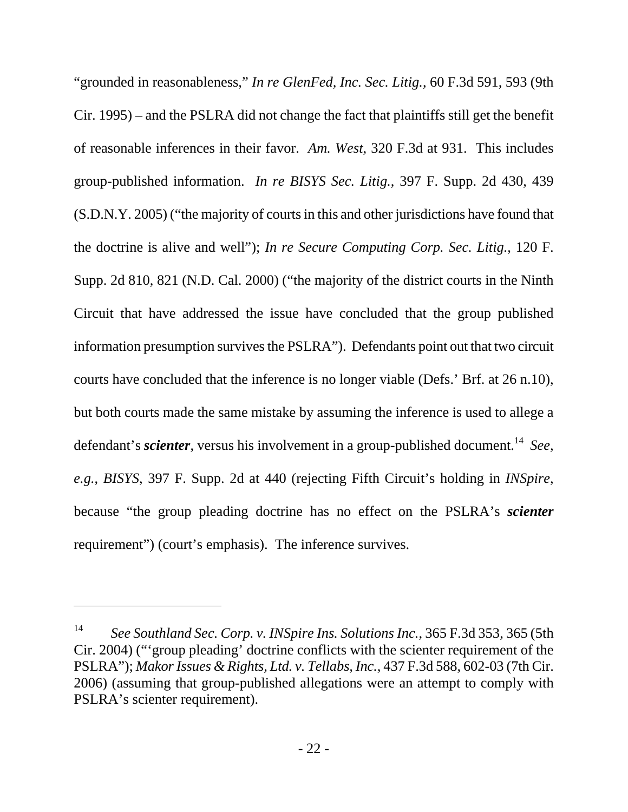"grounded in reasonableness," *In re GlenFed, Inc. Sec. Litig.*, 60 F.3d 591, 593 (9th Cir. 1995) – and the PSLRA did not change the fact that plaintiffs still get the benefit of reasonable inferences in their favor. *Am. West*, 320 F.3d at 931. This includes group-published information. *In re BISYS Sec. Litig.*, 397 F. Supp. 2d 430, 439 (S.D.N.Y. 2005) ("the majority of courts in this and other jurisdictions have found that the doctrine is alive and well"); *In re Secure Computing Corp. Sec. Litig.*, 120 F. Supp. 2d 810, 821 (N.D. Cal. 2000) ("the majority of the district courts in the Ninth Circuit that have addressed the issue have concluded that the group published information presumption survives the PSLRA"). Defendants point out that two circuit courts have concluded that the inference is no longer viable (Defs.' Brf. at 26 n.10), but both courts made the same mistake by assuming the inference is used to allege a defendant's *scienter*, versus his involvement in a group-published document.<sup>14</sup> *See*, *e.g.*, *BISYS*, 397 F. Supp. 2d at 440 (rejecting Fifth Circuit's holding in *INSpire*, because "the group pleading doctrine has no effect on the PSLRA's *scienter* requirement") (court's emphasis). The inference survives.

<sup>14</sup> *See Southland Sec. Corp. v. INSpire Ins. Solutions Inc.*, 365 F.3d 353, 365 (5th Cir. 2004) ("'group pleading' doctrine conflicts with the scienter requirement of the PSLRA"); *Makor Issues & Rights, Ltd. v. Tellabs, Inc.*, 437 F.3d 588, 602-03 (7th Cir. 2006) (assuming that group-published allegations were an attempt to comply with PSLRA's scienter requirement).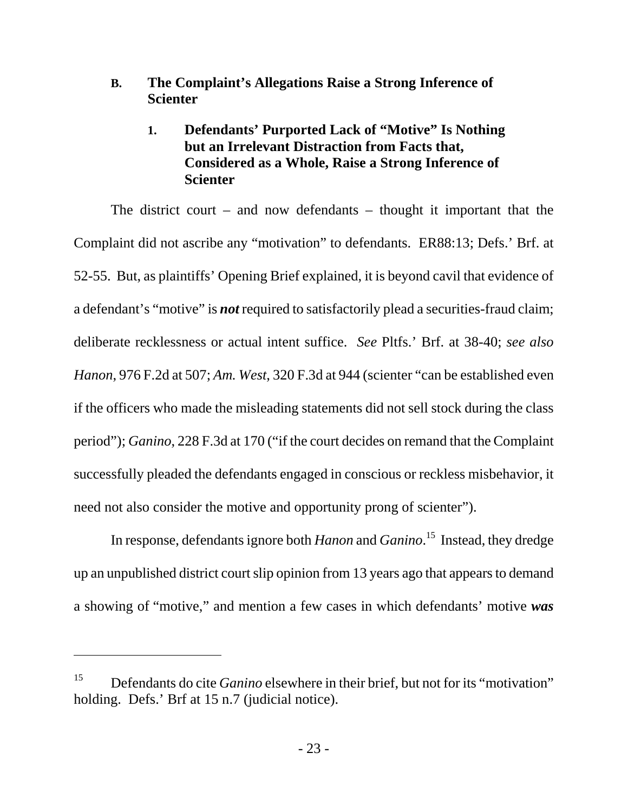### **B. The Complaint's Allegations Raise a Strong Inference of Scienter**

## **1. Defendants' Purported Lack of "Motive" Is Nothing but an Irrelevant Distraction from Facts that, Considered as a Whole, Raise a Strong Inference of Scienter**

The district court – and now defendants – thought it important that the Complaint did not ascribe any "motivation" to defendants. ER88:13; Defs.' Brf. at 52-55. But, as plaintiffs' Opening Brief explained, it is beyond cavil that evidence of a defendant's "motive" is *not* required to satisfactorily plead a securities-fraud claim; deliberate recklessness or actual intent suffice. *See* Pltfs.' Brf. at 38-40; *see also Hanon*, 976 F.2d at 507; *Am. West*, 320 F.3d at 944 (scienter "can be established even if the officers who made the misleading statements did not sell stock during the class period"); *Ganino*, 228 F.3d at 170 ("if the court decides on remand that the Complaint successfully pleaded the defendants engaged in conscious or reckless misbehavior, it need not also consider the motive and opportunity prong of scienter").

In response, defendants ignore both *Hanon* and *Ganino*. 15 Instead, they dredge up an unpublished district court slip opinion from 13 years ago that appears to demand a showing of "motive," and mention a few cases in which defendants' motive *was*

<sup>15</sup> Defendants do cite *Ganino* elsewhere in their brief, but not for its "motivation" holding. Defs.' Brf at 15 n.7 (judicial notice).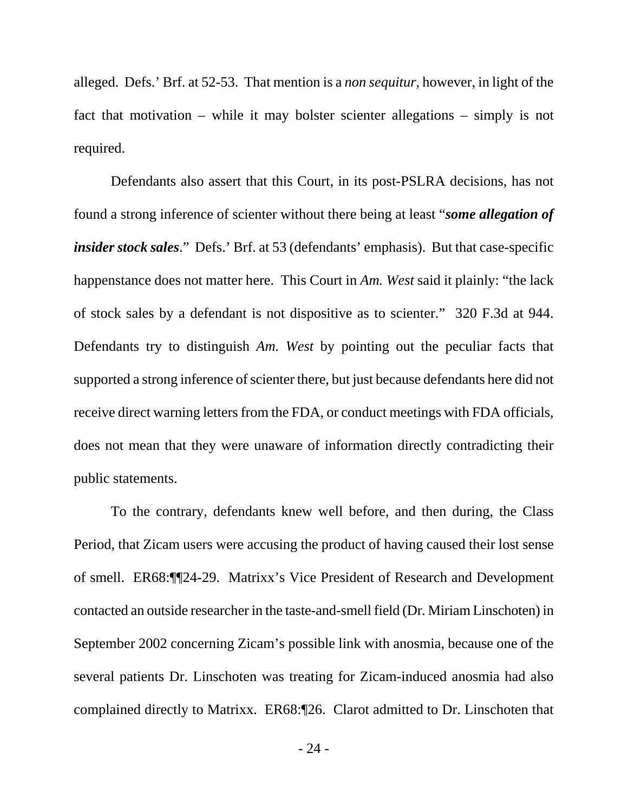alleged. Defs.' Brf. at 52-53. That mention is a *non sequitur*, however, in light of the fact that motivation – while it may bolster scienter allegations – simply is not required.

Defendants also assert that this Court, in its post-PSLRA decisions, has not found a strong inference of scienter without there being at least "*some allegation of insider stock sales.*" Defs.' Brf. at 53 (defendants' emphasis). But that case-specific happenstance does not matter here. This Court in *Am. West* said it plainly: "the lack of stock sales by a defendant is not dispositive as to scienter." 320 F.3d at 944. Defendants try to distinguish *Am. West* by pointing out the peculiar facts that supported a strong inference of scienter there, but just because defendants here did not receive direct warning letters from the FDA, or conduct meetings with FDA officials, does not mean that they were unaware of information directly contradicting their public statements.

To the contrary, defendants knew well before, and then during, the Class Period, that Zicam users were accusing the product of having caused their lost sense of smell. ER68:¶¶24-29. Matrixx's Vice President of Research and Development contacted an outside researcher in the taste-and-smell field (Dr. Miriam Linschoten) in September 2002 concerning Zicam's possible link with anosmia, because one of the several patients Dr. Linschoten was treating for Zicam-induced anosmia had also complained directly to Matrixx. ER68:¶26. Clarot admitted to Dr. Linschoten that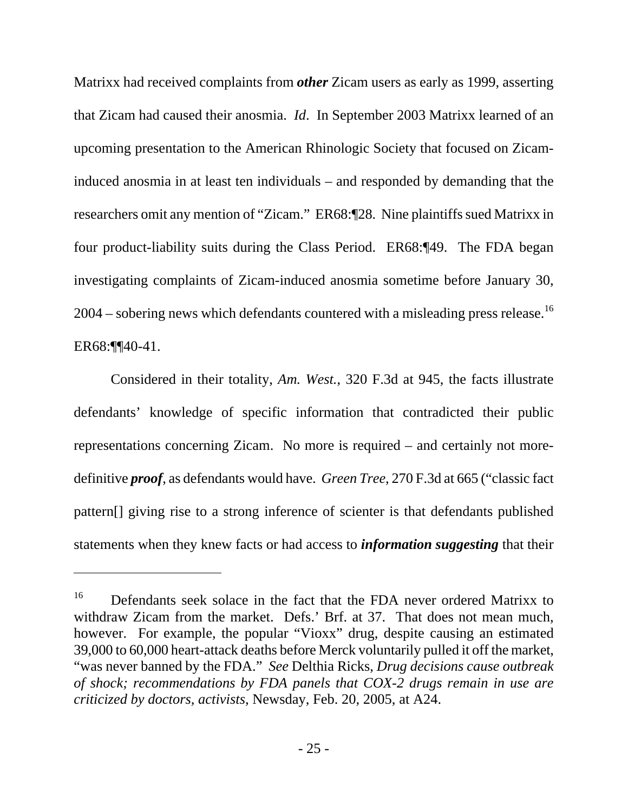Matrixx had received complaints from *other* Zicam users as early as 1999, asserting that Zicam had caused their anosmia. *Id*. In September 2003 Matrixx learned of an upcoming presentation to the American Rhinologic Society that focused on Zicaminduced anosmia in at least ten individuals – and responded by demanding that the researchers omit any mention of "Zicam." ER68:¶28. Nine plaintiffs sued Matrixx in four product-liability suits during the Class Period. ER68:¶49. The FDA began investigating complaints of Zicam-induced anosmia sometime before January 30,  $2004$  – sobering news which defendants countered with a misleading press release.<sup>16</sup> ER68:¶¶40-41.

Considered in their totality, *Am. West.*, 320 F.3d at 945, the facts illustrate defendants' knowledge of specific information that contradicted their public representations concerning Zicam. No more is required – and certainly not moredefinitive *proof*, as defendants would have. *Green Tree*, 270 F.3d at 665 ("classic fact pattern[] giving rise to a strong inference of scienter is that defendants published statements when they knew facts or had access to *information suggesting* that their

<sup>&</sup>lt;sup>16</sup> Defendants seek solace in the fact that the FDA never ordered Matrixx to withdraw Zicam from the market. Defs.' Brf. at 37. That does not mean much, however. For example, the popular "Vioxx" drug, despite causing an estimated 39,000 to 60,000 heart-attack deaths before Merck voluntarily pulled it off the market, "was never banned by the FDA." *See* Delthia Ricks, *Drug decisions cause outbreak of shock; recommendations by FDA panels that COX-2 drugs remain in use are criticized by doctors, activists*, Newsday, Feb. 20, 2005, at A24.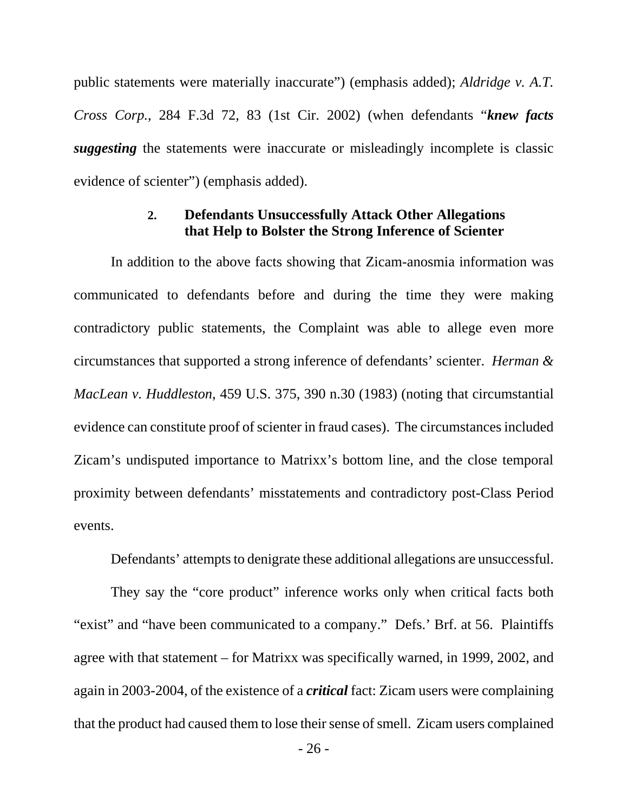public statements were materially inaccurate") (emphasis added); *Aldridge v. A.T. Cross Corp.*, 284 F.3d 72, 83 (1st Cir. 2002) (when defendants "*knew facts suggesting* the statements were inaccurate or misleadingly incomplete is classic evidence of scienter") (emphasis added).

#### **2. Defendants Unsuccessfully Attack Other Allegations that Help to Bolster the Strong Inference of Scienter**

In addition to the above facts showing that Zicam-anosmia information was communicated to defendants before and during the time they were making contradictory public statements, the Complaint was able to allege even more circumstances that supported a strong inference of defendants' scienter. *Herman & MacLean v. Huddleston*, 459 U.S. 375, 390 n.30 (1983) (noting that circumstantial evidence can constitute proof of scienter in fraud cases). The circumstances included Zicam's undisputed importance to Matrixx's bottom line, and the close temporal proximity between defendants' misstatements and contradictory post-Class Period events.

Defendants' attempts to denigrate these additional allegations are unsuccessful.

They say the "core product" inference works only when critical facts both "exist" and "have been communicated to a company." Defs.' Brf. at 56. Plaintiffs agree with that statement – for Matrixx was specifically warned, in 1999, 2002, and again in 2003-2004, of the existence of a *critical* fact: Zicam users were complaining that the product had caused them to lose their sense of smell. Zicam users complained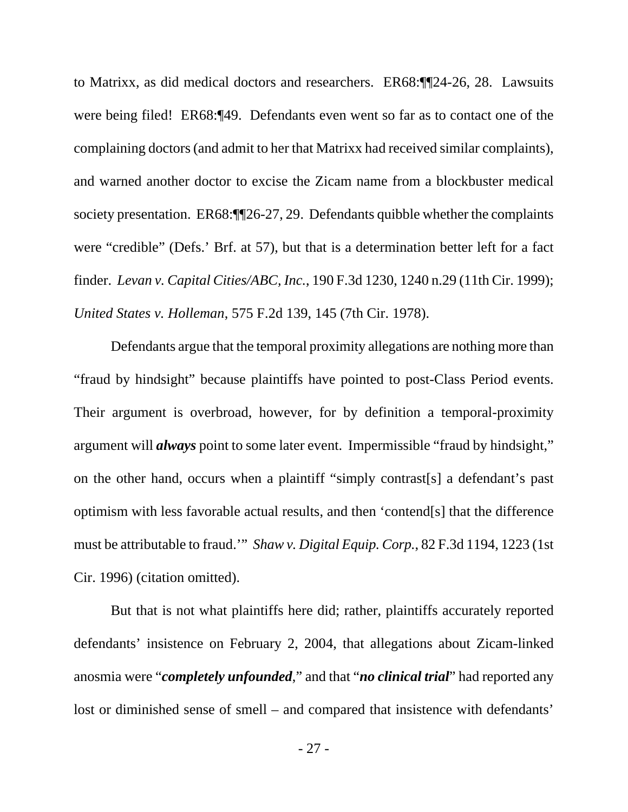to Matrixx, as did medical doctors and researchers. ER68:¶¶24-26, 28. Lawsuits were being filed! ER68:¶49. Defendants even went so far as to contact one of the complaining doctors (and admit to her that Matrixx had received similar complaints), and warned another doctor to excise the Zicam name from a blockbuster medical society presentation. ER68:¶[26-27, 29. Defendants quibble whether the complaints were "credible" (Defs.' Brf. at 57), but that is a determination better left for a fact finder. *Levan v. Capital Cities/ABC, Inc.*, 190 F.3d 1230, 1240 n.29 (11th Cir. 1999); *United States v. Holleman*, 575 F.2d 139, 145 (7th Cir. 1978).

Defendants argue that the temporal proximity allegations are nothing more than "fraud by hindsight" because plaintiffs have pointed to post-Class Period events. Their argument is overbroad, however, for by definition a temporal-proximity argument will *always* point to some later event. Impermissible "fraud by hindsight," on the other hand, occurs when a plaintiff "simply contrast[s] a defendant's past optimism with less favorable actual results, and then 'contend[s] that the difference must be attributable to fraud.'" *Shaw v. Digital Equip. Corp.*, 82 F.3d 1194, 1223 (1st Cir. 1996) (citation omitted).

But that is not what plaintiffs here did; rather, plaintiffs accurately reported defendants' insistence on February 2, 2004, that allegations about Zicam-linked anosmia were "*completely unfounded*," and that "*no clinical trial*" had reported any lost or diminished sense of smell – and compared that insistence with defendants'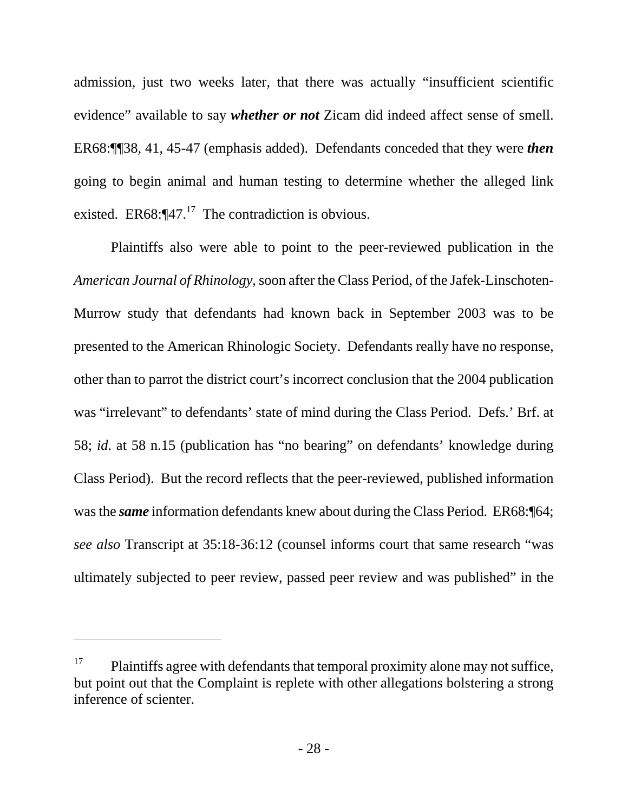admission, just two weeks later, that there was actually "insufficient scientific evidence" available to say *whether or not* Zicam did indeed affect sense of smell. ER68:¶¶38, 41, 45-47 (emphasis added). Defendants conceded that they were *then* going to begin animal and human testing to determine whether the alleged link existed. ER68: $\P$ 47.<sup>17</sup> The contradiction is obvious.

Plaintiffs also were able to point to the peer-reviewed publication in the *American Journal of Rhinology*, soon after the Class Period, of the Jafek-Linschoten-Murrow study that defendants had known back in September 2003 was to be presented to the American Rhinologic Society. Defendants really have no response, other than to parrot the district court's incorrect conclusion that the 2004 publication was "irrelevant" to defendants' state of mind during the Class Period. Defs.' Brf. at 58; *id*. at 58 n.15 (publication has "no bearing" on defendants' knowledge during Class Period). But the record reflects that the peer-reviewed, published information was the *same* information defendants knew about during the Class Period. ER68:<sup>164</sup>; *see also* Transcript at 35:18-36:12 (counsel informs court that same research "was ultimately subjected to peer review, passed peer review and was published" in the

 $17$  Plaintiffs agree with defendants that temporal proximity alone may not suffice, but point out that the Complaint is replete with other allegations bolstering a strong inference of scienter.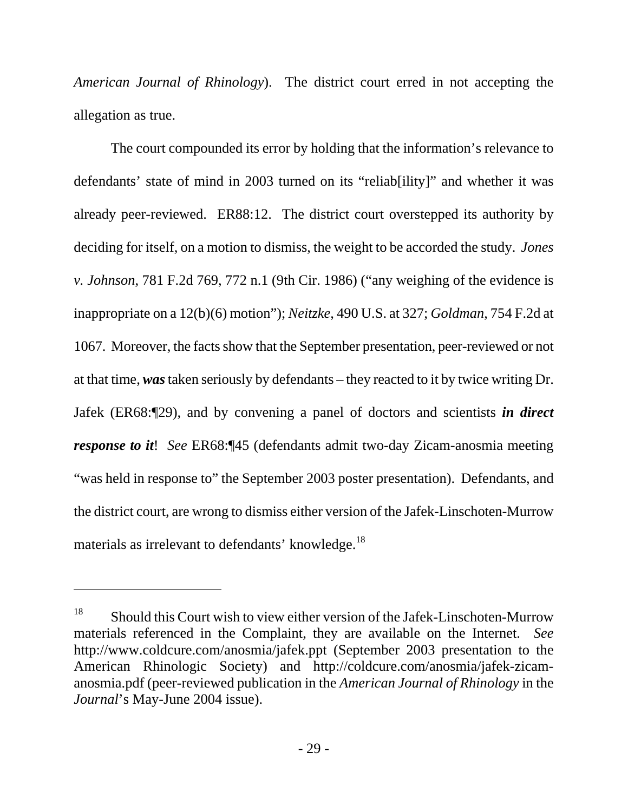*American Journal of Rhinology*). The district court erred in not accepting the allegation as true.

The court compounded its error by holding that the information's relevance to defendants' state of mind in 2003 turned on its "reliab[ility]" and whether it was already peer-reviewed. ER88:12. The district court overstepped its authority by deciding for itself, on a motion to dismiss, the weight to be accorded the study. *Jones v. Johnson*, 781 F.2d 769, 772 n.1 (9th Cir. 1986) ("any weighing of the evidence is inappropriate on a 12(b)(6) motion"); *Neitzke*, 490 U.S. at 327; *Goldman*, 754 F.2d at 1067. Moreover, the facts show that the September presentation, peer-reviewed or not at that time, *was* taken seriously by defendants – they reacted to it by twice writing Dr. Jafek (ER68:¶29), and by convening a panel of doctors and scientists *in direct response to it*! *See* ER68:¶45 (defendants admit two-day Zicam-anosmia meeting "was held in response to" the September 2003 poster presentation). Defendants, and the district court, are wrong to dismiss either version of the Jafek-Linschoten-Murrow materials as irrelevant to defendants' knowledge.<sup>18</sup>

<sup>&</sup>lt;sup>18</sup> Should this Court wish to view either version of the Jafek-Linschoten-Murrow materials referenced in the Complaint, they are available on the Internet. *See* http://www.coldcure.com/anosmia/jafek.ppt (September 2003 presentation to the American Rhinologic Society) and http://coldcure.com/anosmia/jafek-zicamanosmia.pdf (peer-reviewed publication in the *American Journal of Rhinology* in the *Journal*'s May-June 2004 issue).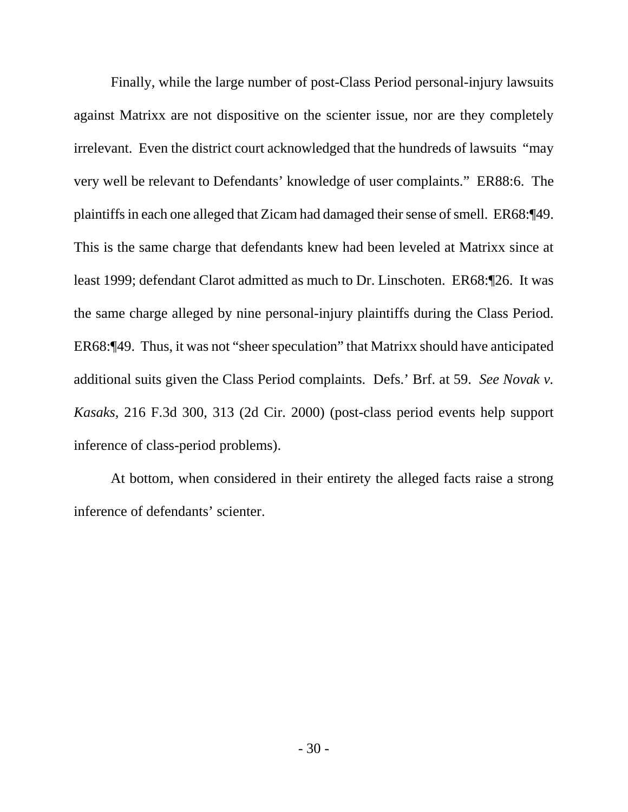Finally, while the large number of post-Class Period personal-injury lawsuits against Matrixx are not dispositive on the scienter issue, nor are they completely irrelevant. Even the district court acknowledged that the hundreds of lawsuits "may very well be relevant to Defendants' knowledge of user complaints." ER88:6. The plaintiffs in each one alleged that Zicam had damaged their sense of smell. ER68:¶49. This is the same charge that defendants knew had been leveled at Matrixx since at least 1999; defendant Clarot admitted as much to Dr. Linschoten. ER68:¶26. It was the same charge alleged by nine personal-injury plaintiffs during the Class Period. ER68:¶49. Thus, it was not "sheer speculation" that Matrixx should have anticipated additional suits given the Class Period complaints. Defs.' Brf. at 59. *See Novak v. Kasaks*, 216 F.3d 300, 313 (2d Cir. 2000) (post-class period events help support inference of class-period problems).

At bottom, when considered in their entirety the alleged facts raise a strong inference of defendants' scienter.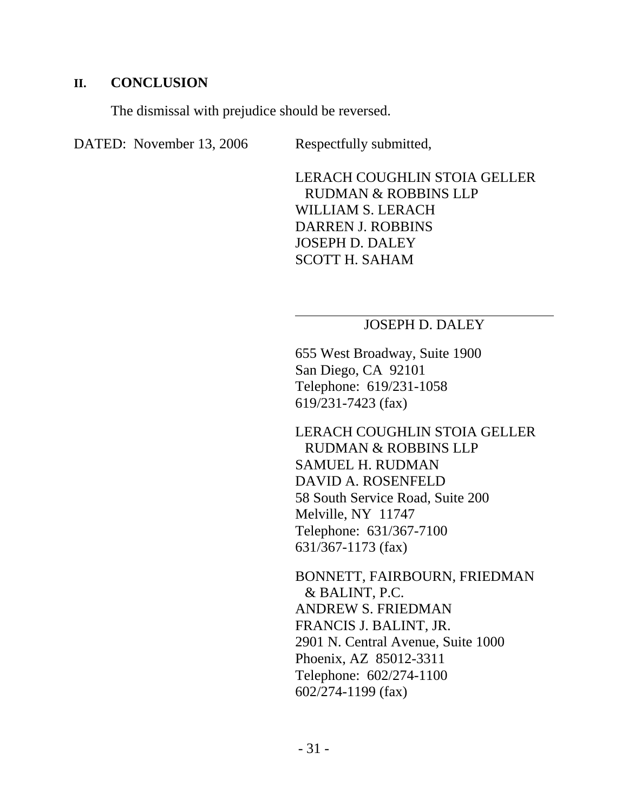#### **II. CONCLUSION**

The dismissal with prejudice should be reversed.

DATED: November 13, 2006 Respectfully submitted,

LERACH COUGHLIN STOIA GELLER RUDMAN & ROBBINS LLP WILLIAM S. LERACH DARREN J. ROBBINS JOSEPH D. DALEY SCOTT H. SAHAM

### JOSEPH D. DALEY

655 West Broadway, Suite 1900 San Diego, CA 92101 Telephone: 619/231-1058 619/231-7423 (fax)

LERACH COUGHLIN STOIA GELLER RUDMAN & ROBBINS LLP SAMUEL H. RUDMAN DAVID A. ROSENFELD 58 South Service Road, Suite 200 Melville, NY 11747 Telephone: 631/367-7100 631/367-1173 (fax)

BONNETT, FAIRBOURN, FRIEDMAN & BALINT, P.C. ANDREW S. FRIEDMAN FRANCIS J. BALINT, JR. 2901 N. Central Avenue, Suite 1000 Phoenix, AZ 85012-3311 Telephone: 602/274-1100 602/274-1199 (fax)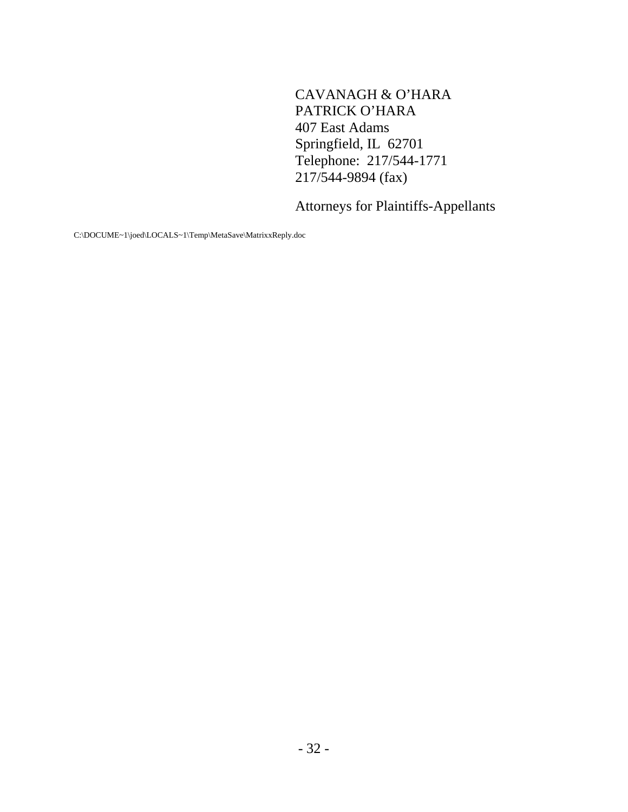CAVANAGH & O'HARA PATRICK O'HARA 407 East Adams Springfield, IL 62701 Telephone: 217/544-1771 217/544-9894 (fax)

Attorneys for Plaintiffs-Appellants

C:\DOCUME~1\joed\LOCALS~1\Temp\MetaSave\MatrixxReply.doc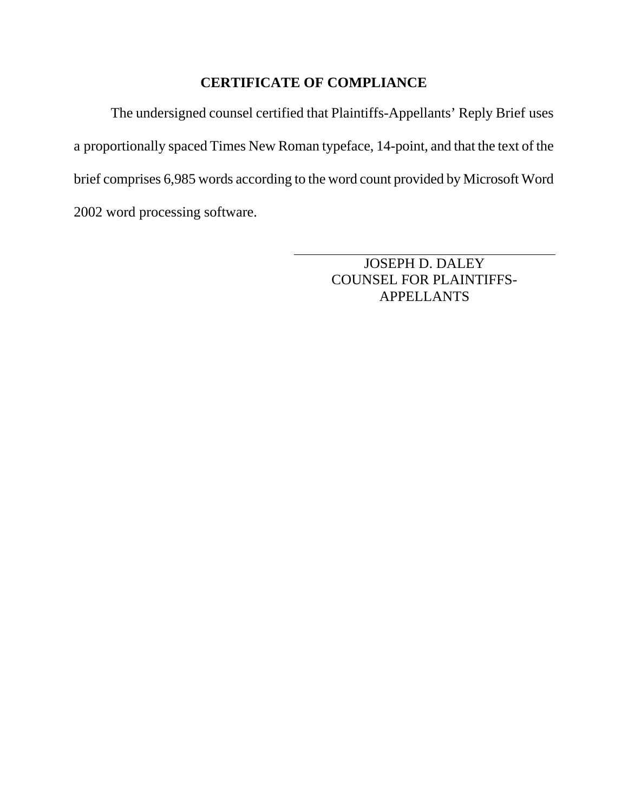## **CERTIFICATE OF COMPLIANCE**

The undersigned counsel certified that Plaintiffs-Appellants' Reply Brief uses a proportionally spaced Times New Roman typeface, 14-point, and that the text of the brief comprises 6,985 words according to the word count provided by Microsoft Word 2002 word processing software.

> JOSEPH D. DALEY COUNSEL FOR PLAINTIFFS-APPELLANTS